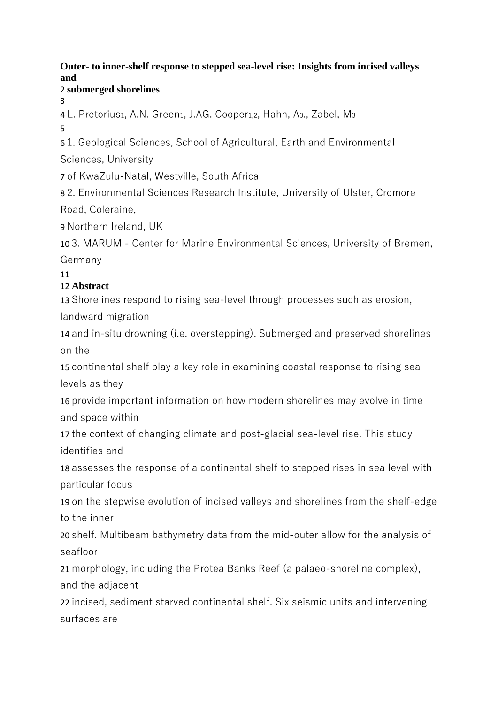## **Outer- to inner-shelf response to stepped sea-level rise: Insights from incised valleys and**

### 2 **submerged shorelines**

3

4 L. Pretorius1, A.N. Green1, J.AG. Cooper1,2, Hahn, A3., Zabel, M<sup>3</sup>

5

6 1. Geological Sciences, School of Agricultural, Earth and Environmental Sciences, University

7 of KwaZulu-Natal, Westville, South Africa

8 2. Environmental Sciences Research Institute, University of Ulster, Cromore Road, Coleraine,

9 Northern Ireland, UK

10 3. MARUM - Center for Marine Environmental Sciences, University of Bremen, Germany

11

# 12 **Abstract**

13 Shorelines respond to rising sea-level through processes such as erosion, landward migration

14 and in-situ drowning (i.e. overstepping). Submerged and preserved shorelines on the

15 continental shelf play a key role in examining coastal response to rising sea levels as they

16 provide important information on how modern shorelines may evolve in time and space within

17 the context of changing climate and post-glacial sea-level rise. This study identifies and

18 assesses the response of a continental shelf to stepped rises in sea level with particular focus

19 on the stepwise evolution of incised valleys and shorelines from the shelf-edge to the inner

20 shelf. Multibeam bathymetry data from the mid-outer allow for the analysis of seafloor

21 morphology, including the Protea Banks Reef (a palaeo-shoreline complex), and the adjacent

22 incised, sediment starved continental shelf. Six seismic units and intervening surfaces are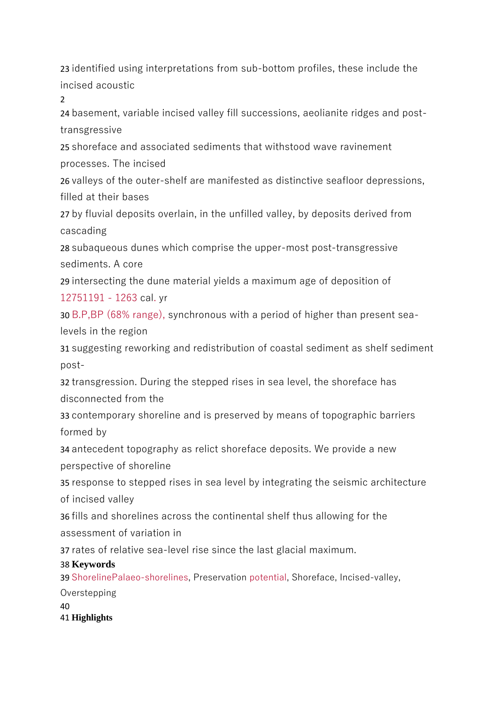23 identified using interpretations from sub-bottom profiles, these include the incised acoustic

 $\overline{2}$ 

24 basement, variable incised valley fill successions, aeolianite ridges and posttransgressive

25 shoreface and associated sediments that withstood wave ravinement processes. The incised

26 valleys of the outer-shelf are manifested as distinctive seafloor depressions, filled at their bases

27 by fluvial deposits overlain, in the unfilled valley, by deposits derived from cascading

28 subaqueous dunes which comprise the upper-most post-transgressive sediments. A core

29 intersecting the dune material yields a maximum age of deposition of 12751191 - 1263 cal. yr

30 B.P,BP (68% range), synchronous with a period of higher than present sealevels in the region

31 suggesting reworking and redistribution of coastal sediment as shelf sediment post-

32 transgression. During the stepped rises in sea level, the shoreface has disconnected from the

33 contemporary shoreline and is preserved by means of topographic barriers formed by

34 antecedent topography as relict shoreface deposits. We provide a new perspective of shoreline

35 response to stepped rises in sea level by integrating the seismic architecture of incised valley

36 fills and shorelines across the continental shelf thus allowing for the assessment of variation in

37 rates of relative sea-level rise since the last glacial maximum.

# 38 **Keywords**

39 ShorelinePalaeo-shorelines, Preservation potential, Shoreface, Incised-valley, **Overstepping** 

40 41 **Highlights**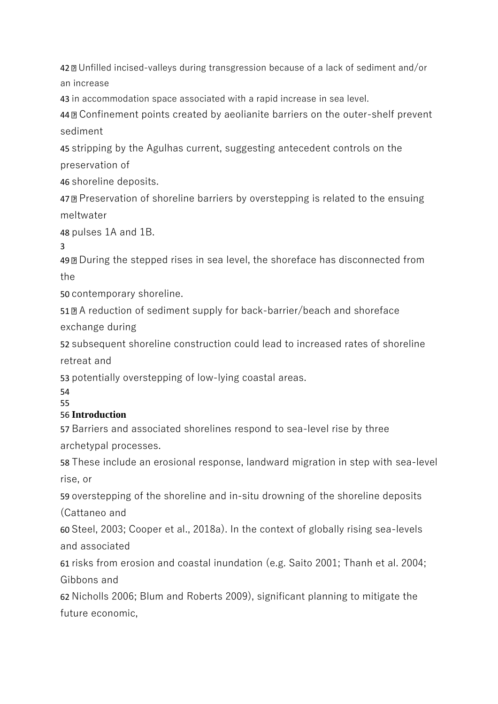Unfilled incised-valleys during transgression because of a lack of sediment and/or an increase

in accommodation space associated with a rapid increase in sea level.

Confinement points created by aeolianite barriers on the outer-shelf prevent sediment

stripping by the Agulhas current, suggesting antecedent controls on the preservation of

shoreline deposits.

Preservation of shoreline barriers by overstepping is related to the ensuing meltwater

pulses 1A and 1B.

During the stepped rises in sea level, the shoreface has disconnected from the

contemporary shoreline.

A reduction of sediment supply for back-barrier/beach and shoreface exchange during

subsequent shoreline construction could lead to increased rates of shoreline retreat and

potentially overstepping of low-lying coastal areas.

# **Introduction**

Barriers and associated shorelines respond to sea-level rise by three archetypal processes.

These include an erosional response, landward migration in step with sea-level rise, or

overstepping of the shoreline and in-situ drowning of the shoreline deposits (Cattaneo and

Steel, 2003; Cooper et al., 2018a). In the context of globally rising sea-levels and associated

risks from erosion and coastal inundation (e.g. Saito 2001; Thanh et al. 2004; Gibbons and

Nicholls 2006; Blum and Roberts 2009), significant planning to mitigate the future economic,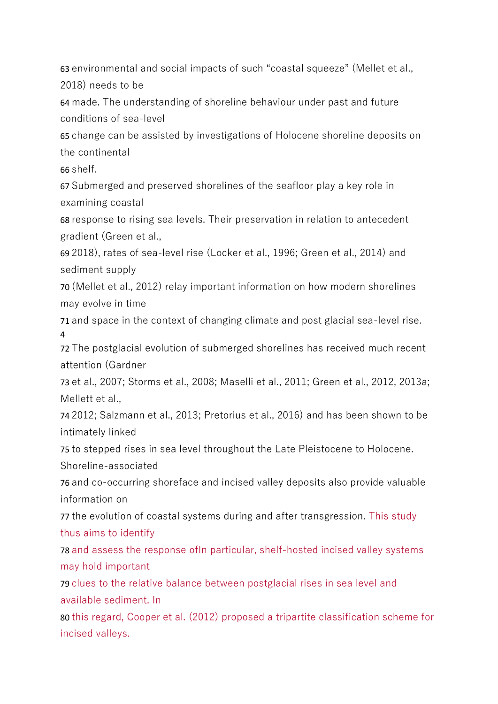63 environmental and social impacts of such "coastal squeeze" (Mellet et al., 2018) needs to be

64 made. The understanding of shoreline behaviour under past and future conditions of sea-level

65 change can be assisted by investigations of Holocene shoreline deposits on the continental

66 shelf.

67 Submerged and preserved shorelines of the seafloor play a key role in examining coastal

68 response to rising sea levels. Their preservation in relation to antecedent gradient (Green et al.,

69 2018), rates of sea-level rise (Locker et al., 1996; Green et al., 2014) and sediment supply

70 (Mellet et al., 2012) relay important information on how modern shorelines may evolve in time

71 and space in the context of changing climate and post glacial sea-level rise. 4

72 The postglacial evolution of submerged shorelines has received much recent attention (Gardner

73 et al., 2007; Storms et al., 2008; Maselli et al., 2011; Green et al., 2012, 2013a; Mellett et al.,

74 2012; Salzmann et al., 2013; Pretorius et al., 2016) and has been shown to be intimately linked

75 to stepped rises in sea level throughout the Late Pleistocene to Holocene. Shoreline-associated

76 and co-occurring shoreface and incised valley deposits also provide valuable information on

77 the evolution of coastal systems during and after transgression. This study thus aims to identify

78 and assess the response ofIn particular, shelf-hosted incised valley systems may hold important

79 clues to the relative balance between postglacial rises in sea level and available sediment. In

80 this regard, Cooper et al. (2012) proposed a tripartite classification scheme for incised valleys.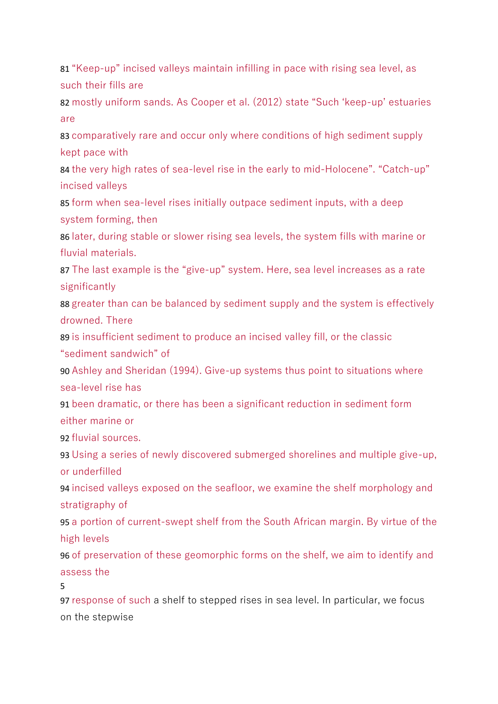81 "Keep-up" incised valleys maintain infilling in pace with rising sea level, as such their fills are

82 mostly uniform sands. As Cooper et al. (2012) state "Such 'keep-up' estuaries are

83 comparatively rare and occur only where conditions of high sediment supply kept pace with

84 the very high rates of sea-level rise in the early to mid-Holocene". "Catch-up" incised valleys

85 form when sea-level rises initially outpace sediment inputs, with a deep system forming, then

86 later, during stable or slower rising sea levels, the system fills with marine or fluvial materials.

87 The last example is the "give-up" system. Here, sea level increases as a rate significantly

88 greater than can be balanced by sediment supply and the system is effectively drowned. There

89 is insufficient sediment to produce an incised valley fill, or the classic "sediment sandwich" of

90 Ashley and Sheridan (1994). Give-up systems thus point to situations where sea-level rise has

91 been dramatic, or there has been a significant reduction in sediment form either marine or

92 fluvial sources.

93 Using a series of newly discovered submerged shorelines and multiple give-up, or underfilled

94 incised valleys exposed on the seafloor, we examine the shelf morphology and stratigraphy of

95 a portion of current-swept shelf from the South African margin. By virtue of the high levels

96 of preservation of these geomorphic forms on the shelf, we aim to identify and assess the

5

97 response of such a shelf to stepped rises in sea level. In particular, we focus on the stepwise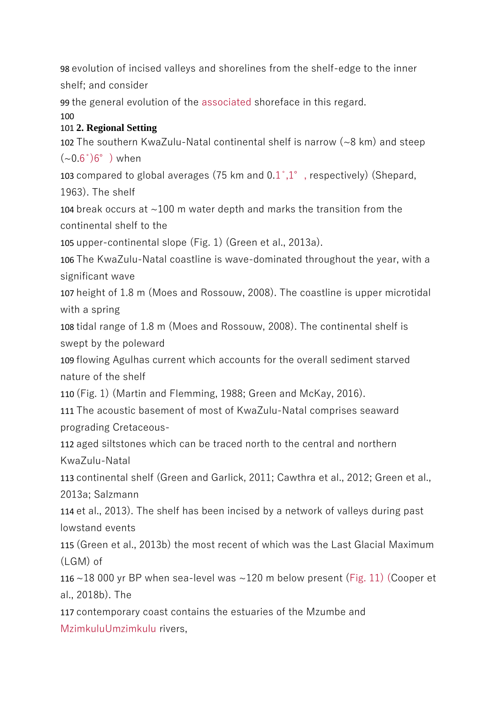98 evolution of incised valleys and shorelines from the shelf-edge to the inner shelf; and consider

99 the general evolution of the associated shoreface in this regard.

### $100$

# 101 **2. Regional Setting**

102 The southern KwaZulu-Natal continental shelf is narrow (~8 km) and steep  $({\sim}0.6^{\circ})6^{\circ}$  ) when

103 compared to global averages (75 km and  $0.1^{\circ},1^{\circ}$ , respectively) (Shepard, 1963). The shelf

104 break occurs at ~100 m water depth and marks the transition from the continental shelf to the

105 upper-continental slope (Fig. 1) (Green et al., 2013a).

106 The KwaZulu-Natal coastline is wave-dominated throughout the year, with a significant wave

107 height of 1.8 m (Moes and Rossouw, 2008). The coastline is upper microtidal with a spring

108 tidal range of 1.8 m (Moes and Rossouw, 2008). The continental shelf is swept by the poleward

109 flowing Agulhas current which accounts for the overall sediment starved nature of the shelf

110 (Fig. 1) (Martin and Flemming, 1988; Green and McKay, 2016).

111 The acoustic basement of most of KwaZulu-Natal comprises seaward prograding Cretaceous-

112 aged siltstones which can be traced north to the central and northern KwaZulu-Natal

113 continental shelf (Green and Garlick, 2011; Cawthra et al., 2012; Green et al., 2013a; Salzmann

114 et al., 2013). The shelf has been incised by a network of valleys during past lowstand events

115 (Green et al., 2013b) the most recent of which was the Last Glacial Maximum (LGM) of

116 ~18 000 yr BP when sea-level was ~120 m below present (Fig. 11) (Cooper et al., 2018b). The

117 contemporary coast contains the estuaries of the Mzumbe and MzimkuluUmzimkulu rivers,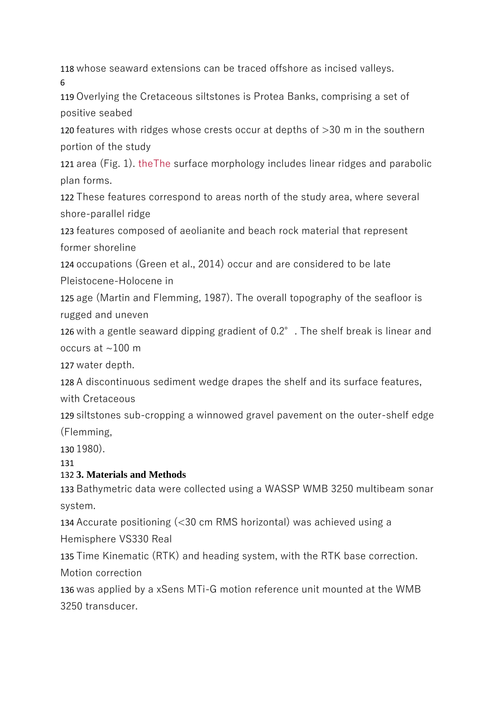118 whose seaward extensions can be traced offshore as incised valleys. 6

119 Overlying the Cretaceous siltstones is Protea Banks, comprising a set of positive seabed

120 features with ridges whose crests occur at depths of >30 m in the southern portion of the study

121 area (Fig. 1). theThe surface morphology includes linear ridges and parabolic plan forms.

122 These features correspond to areas north of the study area, where several shore-parallel ridge

123 features composed of aeolianite and beach rock material that represent former shoreline

124 occupations (Green et al., 2014) occur and are considered to be late Pleistocene-Holocene in

125 age (Martin and Flemming, 1987). The overall topography of the seafloor is rugged and uneven

126 with a gentle seaward dipping gradient of 0.2°. The shelf break is linear and occurs at  $\sim$ 100 m

127 water depth.

128 A discontinuous sediment wedge drapes the shelf and its surface features,

with Cretaceous

129 siltstones sub-cropping a winnowed gravel pavement on the outer-shelf edge (Flemming,

130 1980).

131

# 132 **3. Materials and Methods**

133 Bathymetric data were collected using a WASSP WMB 3250 multibeam sonar system.

134 Accurate positioning (<30 cm RMS horizontal) was achieved using a Hemisphere VS330 Real

135 Time Kinematic (RTK) and heading system, with the RTK base correction. Motion correction

136 was applied by a xSens MTi-G motion reference unit mounted at the WMB 3250 transducer.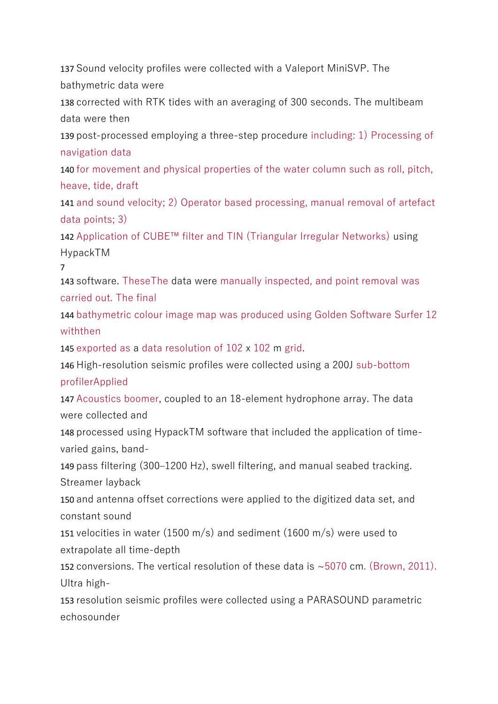137 Sound velocity profiles were collected with a Valeport MiniSVP. The bathymetric data were

138 corrected with RTK tides with an averaging of 300 seconds. The multibeam data were then

139 post-processed employing a three-step procedure including: 1) Processing of navigation data

140 for movement and physical properties of the water column such as roll, pitch, heave, tide, draft

141 and sound velocity; 2) Operator based processing, manual removal of artefact data points; 3)

142 Application of CUBE™ filter and TIN (Triangular Irregular Networks) using HypackTM

7

143 software. TheseThe data were manually inspected, and point removal was carried out. The final

144 bathymetric colour image map was produced using Golden Software Surfer 12 withthen

145 exported as a data resolution of 102 x 102 m grid.

146 High-resolution seismic profiles were collected using a 200J sub-bottom profilerApplied

147 Acoustics boomer, coupled to an 18-element hydrophone array. The data were collected and

148 processed using HypackTM software that included the application of timevaried gains, band-

149 pass filtering (300–1200 Hz), swell filtering, and manual seabed tracking. Streamer layback

150 and antenna offset corrections were applied to the digitized data set, and constant sound

151 velocities in water (1500 m/s) and sediment (1600 m/s) were used to extrapolate all time-depth

152 conversions. The vertical resolution of these data is ~5070 cm. (Brown, 2011). Ultra high-

153 resolution seismic profiles were collected using a PARASOUND parametric echosounder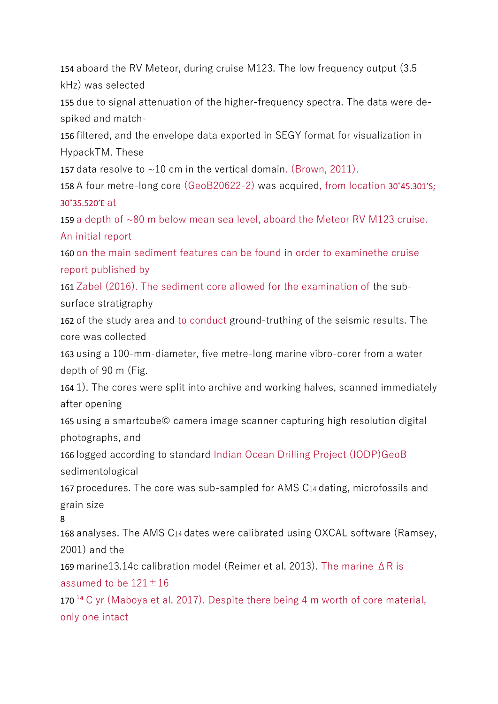154 aboard the RV Meteor, during cruise M123. The low frequency output (3.5 kHz) was selected

155 due to signal attenuation of the higher-frequency spectra. The data were despiked and match-

156 filtered, and the envelope data exported in SEGY format for visualization in HypackTM. These

157 data resolve to  $\sim$ 10 cm in the vertical domain. (Brown, 2011).

158 A four metre-long core (GeoB20622-2) was acquired, from location 30˚45.301'S; 30˚35.520'E at

159 a depth of ~80 m below mean sea level, aboard the Meteor RV M123 cruise. An initial report

160 on the main sediment features can be found in order to examinethe cruise report published by

161 Zabel (2016). The sediment core allowed for the examination of the subsurface stratigraphy

162 of the study area and to conduct ground-truthing of the seismic results. The core was collected

163 using a 100-mm-diameter, five metre-long marine vibro-corer from a water depth of 90 m (Fig.

164 1). The cores were split into archive and working halves, scanned immediately after opening

165 using a smartcube© camera image scanner capturing high resolution digital photographs, and

166 logged according to standard Indian Ocean Drilling Project (IODP)GeoB sedimentological

167 procedures. The core was sub-sampled for AMS C14 dating, microfossils and grain size

8

168 analyses. The AMS C14 dates were calibrated using OXCAL software (Ramsey, 2001) and the

169 marine13.14c calibration model (Reimer et al. 2013). The marine ΔR is assumed to be  $121 \pm 16$ 

170<sup> $14$ </sup> C yr (Maboya et al. 2017). Despite there being 4 m worth of core material, only one intact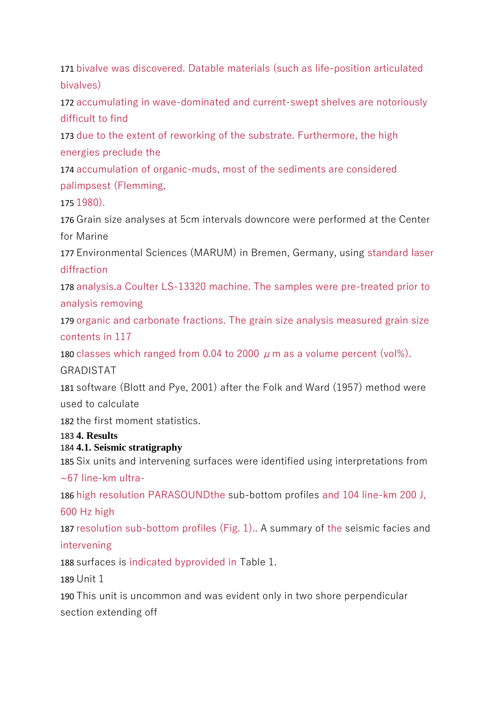171 bivalve was discovered. Datable materials (such as life-position articulated bivalves)

172 accumulating in wave-dominated and current-swept shelves are notoriously difficult to find

173 due to the extent of reworking of the substrate. Furthermore, the high energies preclude the

174 accumulation of organic-muds, most of the sediments are considered palimpsest (Flemming,

175 1980).

176 Grain size analyses at 5cm intervals downcore were performed at the Center for Marine

177 Environmental Sciences (MARUM) in Bremen, Germany, using standard laser diffraction

178 analysis.a Coulter LS-13320 machine. The samples were pre-treated prior to analysis removing

179 organic and carbonate fractions. The grain size analysis measured grain size contents in 117

180 classes which ranged from 0.04 to 2000  $\mu$  m as a volume percent (vol%).

### GRADISTAT

181 software (Blott and Pye, 2001) after the Folk and Ward (1957) method were used to calculate

182 the first moment statistics.

### 183 **4. Results**

### 184 **4.1. Seismic stratigraphy**

185 Six units and intervening surfaces were identified using interpretations from ~67 line-km ultra-

186 high resolution PARASOUNDthe sub-bottom profiles and 104 line-km 200 J, 600 Hz high

187 resolution sub-bottom profiles (Fig. 1).. A summary of the seismic facies and intervening

188 surfaces is indicated byprovided in Table 1.

189 Unit 1

190 This unit is uncommon and was evident only in two shore perpendicular section extending off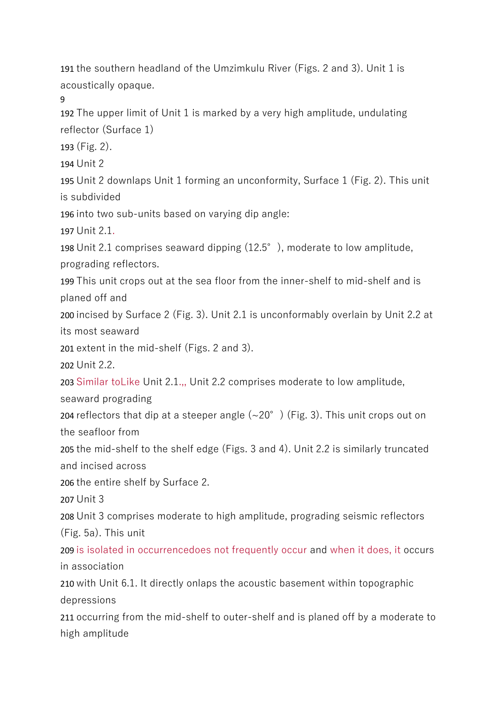191 the southern headland of the Umzimkulu River (Figs. 2 and 3). Unit 1 is acoustically opaque.

9

192 The upper limit of Unit 1 is marked by a very high amplitude, undulating reflector (Surface 1)

193 (Fig. 2).

194 Unit 2

195 Unit 2 downlaps Unit 1 forming an unconformity, Surface 1 (Fig. 2). This unit is subdivided

196 into two sub-units based on varying dip angle:

197 Unit 2.1.

198 Unit 2.1 comprises seaward dipping (12.5°), moderate to low amplitude, prograding reflectors.

199 This unit crops out at the sea floor from the inner-shelf to mid-shelf and is planed off and

200 incised by Surface 2 (Fig. 3). Unit 2.1 is unconformably overlain by Unit 2.2 at its most seaward

201 extent in the mid-shelf (Figs. 2 and 3).

202 Unit 2.2.

203 Similar toLike Unit 2.1.,, Unit 2.2 comprises moderate to low amplitude,

seaward prograding

204 reflectors that dip at a steeper angle  $({\sim}20^{\circ})$  (Fig. 3). This unit crops out on the seafloor from

205 the mid-shelf to the shelf edge (Figs. 3 and 4). Unit 2.2 is similarly truncated and incised across

206 the entire shelf by Surface 2.

207 Unit 3

208 Unit 3 comprises moderate to high amplitude, prograding seismic reflectors (Fig. 5a). This unit

209 is isolated in occurrencedoes not frequently occur and when it does, it occurs in association

210 with Unit 6.1. It directly onlaps the acoustic basement within topographic depressions

211 occurring from the mid-shelf to outer-shelf and is planed off by a moderate to high amplitude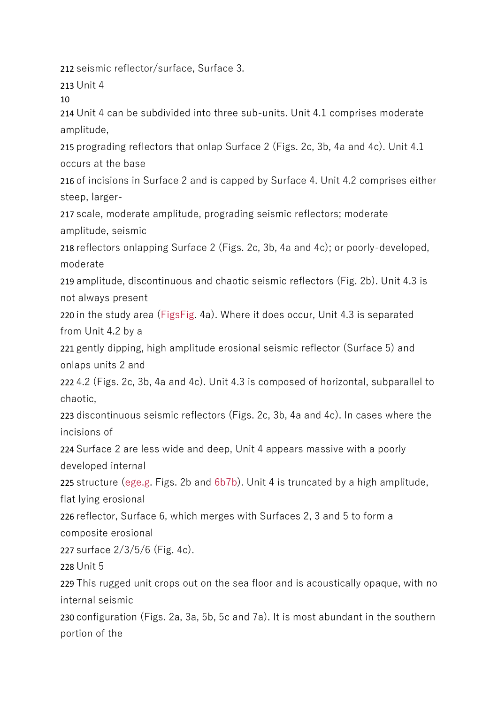212 seismic reflector/surface, Surface 3.

213 Unit 4

10

214 Unit 4 can be subdivided into three sub-units. Unit 4.1 comprises moderate amplitude,

215 prograding reflectors that onlap Surface 2 (Figs. 2c, 3b, 4a and 4c). Unit 4.1 occurs at the base

216 of incisions in Surface 2 and is capped by Surface 4. Unit 4.2 comprises either steep, larger-

217 scale, moderate amplitude, prograding seismic reflectors; moderate amplitude, seismic

218 reflectors onlapping Surface 2 (Figs. 2c, 3b, 4a and 4c); or poorly-developed, moderate

219 amplitude, discontinuous and chaotic seismic reflectors (Fig. 2b). Unit 4.3 is not always present

220 in the study area (FigsFig. 4a). Where it does occur, Unit 4.3 is separated from Unit 4.2 by a

221 gently dipping, high amplitude erosional seismic reflector (Surface 5) and onlaps units 2 and

222 4.2 (Figs. 2c, 3b, 4a and 4c). Unit 4.3 is composed of horizontal, subparallel to chaotic,

223 discontinuous seismic reflectors (Figs. 2c, 3b, 4a and 4c). In cases where the incisions of

224 Surface 2 are less wide and deep, Unit 4 appears massive with a poorly developed internal

225 structure (ege.g. Figs. 2b and 6b7b). Unit 4 is truncated by a high amplitude, flat lying erosional

226 reflector, Surface 6, which merges with Surfaces 2, 3 and 5 to form a composite erosional

227 surface 2/3/5/6 (Fig. 4c).

228 Unit 5

229 This rugged unit crops out on the sea floor and is acoustically opaque, with no internal seismic

230 configuration (Figs. 2a, 3a, 5b, 5c and 7a). It is most abundant in the southern portion of the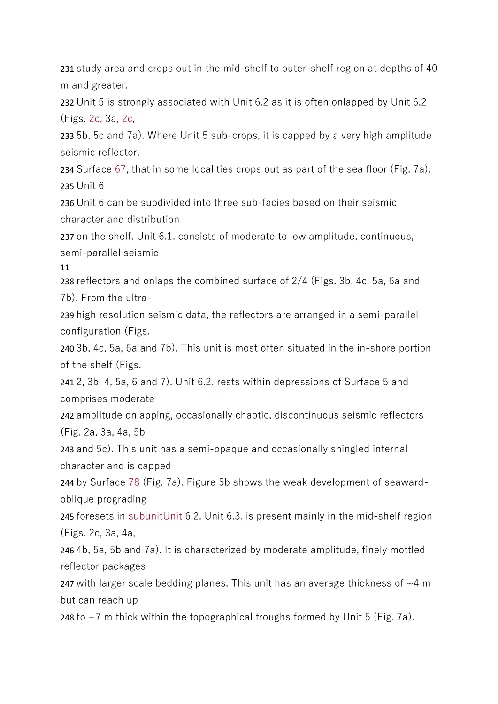231 study area and crops out in the mid-shelf to outer-shelf region at depths of 40 m and greater.

232 Unit 5 is strongly associated with Unit 6.2 as it is often onlapped by Unit 6.2 (Figs. 2c, 3a, 2c,

233 5b, 5c and 7a). Where Unit 5 sub-crops, it is capped by a very high amplitude seismic reflector,

234 Surface 67, that in some localities crops out as part of the sea floor (Fig. 7a). 235 Unit 6

236 Unit 6 can be subdivided into three sub-facies based on their seismic character and distribution

237 on the shelf. Unit 6.1. consists of moderate to low amplitude, continuous, semi-parallel seismic

11

238 reflectors and onlaps the combined surface of 2/4 (Figs. 3b, 4c, 5a, 6a and 7b). From the ultra-

239 high resolution seismic data, the reflectors are arranged in a semi-parallel configuration (Figs.

240 3b, 4c, 5a, 6a and 7b). This unit is most often situated in the in-shore portion of the shelf (Figs.

241 2, 3b, 4, 5a, 6 and 7). Unit 6.2. rests within depressions of Surface 5 and comprises moderate

242 amplitude onlapping, occasionally chaotic, discontinuous seismic reflectors (Fig. 2a, 3a, 4a, 5b

243 and 5c). This unit has a semi-opaque and occasionally shingled internal character and is capped

244 by Surface 78 (Fig. 7a). Figure 5b shows the weak development of seawardoblique prograding

245 foresets in subunitUnit 6.2. Unit 6.3. is present mainly in the mid-shelf region (Figs. 2c, 3a, 4a,

246 4b, 5a, 5b and 7a). It is characterized by moderate amplitude, finely mottled reflector packages

247 with larger scale bedding planes. This unit has an average thickness of  $\sim$ 4 m but can reach up

248 to  $\sim$ 7 m thick within the topographical troughs formed by Unit 5 (Fig. 7a).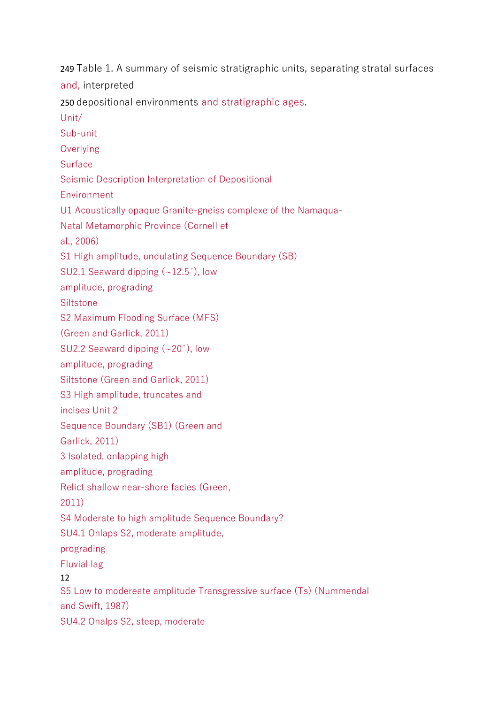249 Table 1. A summary of seismic stratigraphic units, separating stratal surfaces and, interpreted 250 depositional environments and stratigraphic ages. Unit/ Sub-unit **Overlying** Surface Seismic Description Interpretation of Depositional **Environment** U1 Acoustically opaque Granite-gneiss complexe of the Namaqua-Natal Metamorphic Province (Cornell et al., 2006) S1 High amplitude, undulating Sequence Boundary (SB) SU2.1 Seaward dipping (~12.5̊), low amplitude, prograding **Siltstone** S2 Maximum Flooding Surface (MFS) (Green and Garlick, 2011) SU2.2 Seaward dipping (~20°), low amplitude, prograding Siltstone (Green and Garlick, 2011) S3 High amplitude, truncates and incises Unit 2 Sequence Boundary (SB1) (Green and Garlick, 2011) 3 Isolated, onlapping high amplitude, prograding Relict shallow near-shore facies (Green, 2011) S4 Moderate to high amplitude Sequence Boundary? SU4.1 Onlaps S2, moderate amplitude, prograding Fluvial lag 12 S5 Low to modereate amplitude Transgressive surface (Ts) (Nummendal and Swift, 1987) SU4.2 Onalps S2, steep, moderate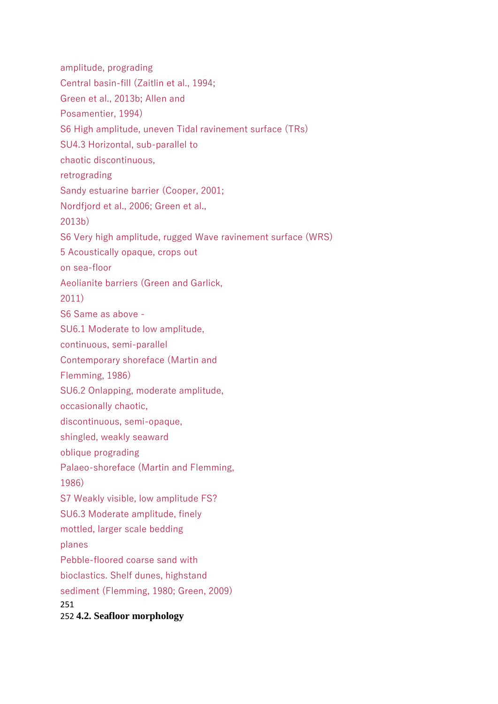amplitude, prograding Central basin-fill (Zaitlin et al., 1994; Green et al., 2013b; Allen and Posamentier, 1994) S6 High amplitude, uneven Tidal ravinement surface (TRs) SU4.3 Horizontal, sub-parallel to chaotic discontinuous, retrograding Sandy estuarine barrier (Cooper, 2001; Nordfjord et al., 2006; Green et al., 2013b) S6 Very high amplitude, rugged Wave ravinement surface (WRS) 5 Acoustically opaque, crops out on sea-floor Aeolianite barriers (Green and Garlick, 2011) S6 Same as above - SU6.1 Moderate to low amplitude, continuous, semi-parallel Contemporary shoreface (Martin and Flemming, 1986) SU6.2 Onlapping, moderate amplitude, occasionally chaotic, discontinuous, semi-opaque, shingled, weakly seaward oblique prograding Palaeo-shoreface (Martin and Flemming, 1986) S7 Weakly visible, low amplitude FS? SU6.3 Moderate amplitude, finely mottled, larger scale bedding planes Pebble-floored coarse sand with bioclastics. Shelf dunes, highstand sediment (Flemming, 1980; Green, 2009) 251 252 **4.2. Seafloor morphology**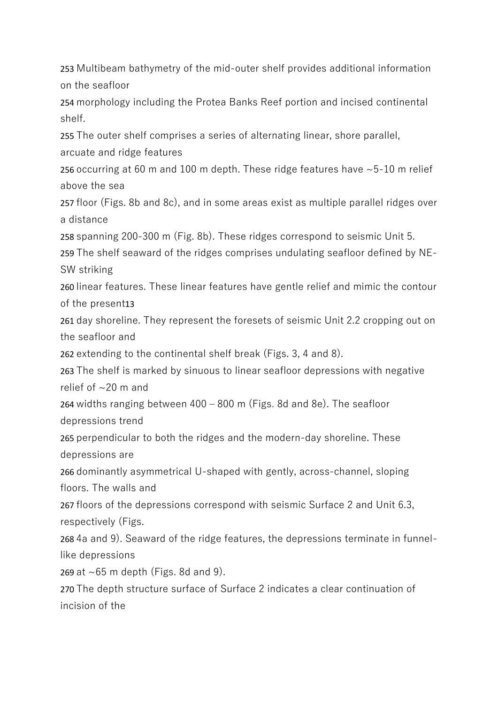253 Multibeam bathymetry of the mid-outer shelf provides additional information on the seafloor

254 morphology including the Protea Banks Reef portion and incised continental shelf.

255 The outer shelf comprises a series of alternating linear, shore parallel,

arcuate and ridge features

256 occurring at 60 m and 100 m depth. These ridge features have ~5-10 m relief above the sea

257 floor (Figs. 8b and 8c), and in some areas exist as multiple parallel ridges over a distance

258 spanning 200-300 m (Fig. 8b). These ridges correspond to seismic Unit 5.

259 The shelf seaward of the ridges comprises undulating seafloor defined by NE-SW striking

260 linear features. These linear features have gentle relief and mimic the contour of the present13

261 day shoreline. They represent the foresets of seismic Unit 2.2 cropping out on the seafloor and

262 extending to the continental shelf break (Figs. 3, 4 and 8).

263 The shelf is marked by sinuous to linear seafloor depressions with negative relief of  $\sim$ 20 m and

264 widths ranging between 400 – 800 m (Figs. 8d and 8e). The seafloor depressions trend

265 perpendicular to both the ridges and the modern-day shoreline. These depressions are

266 dominantly asymmetrical U-shaped with gently, across-channel, sloping floors. The walls and

267 floors of the depressions correspond with seismic Surface 2 and Unit 6.3, respectively (Figs.

268 4a and 9). Seaward of the ridge features, the depressions terminate in funnellike depressions

269 at ~65 m depth (Figs. 8d and 9).

270 The depth structure surface of Surface 2 indicates a clear continuation of incision of the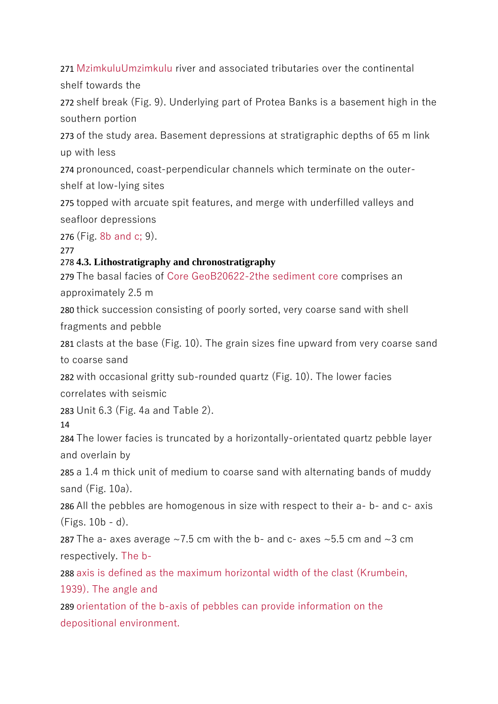271 MzimkuluUmzimkulu river and associated tributaries over the continental shelf towards the

272 shelf break (Fig. 9). Underlying part of Protea Banks is a basement high in the southern portion

273 of the study area. Basement depressions at stratigraphic depths of 65 m link up with less

274 pronounced, coast-perpendicular channels which terminate on the outershelf at low-lying sites

275 topped with arcuate spit features, and merge with underfilled valleys and seafloor depressions

276 (Fig. 8b and c; 9).

277

### 278 **4.3. Lithostratigraphy and chronostratigraphy**

279 The basal facies of Core GeoB20622-2the sediment core comprises an approximately 2.5 m

280 thick succession consisting of poorly sorted, very coarse sand with shell fragments and pebble

281 clasts at the base (Fig. 10). The grain sizes fine upward from very coarse sand to coarse sand

282 with occasional gritty sub-rounded quartz (Fig. 10). The lower facies correlates with seismic

283 Unit 6.3 (Fig. 4a and Table 2).

14

284 The lower facies is truncated by a horizontally-orientated quartz pebble layer and overlain by

285 a 1.4 m thick unit of medium to coarse sand with alternating bands of muddy sand (Fig. 10a).

286 All the pebbles are homogenous in size with respect to their a- b- and c- axis (Figs. 10b - d).

287 The a- axes average  $\sim$ 7.5 cm with the b- and c- axes  $\sim$ 5.5 cm and  $\sim$ 3 cm respectively. The b-

288 axis is defined as the maximum horizontal width of the clast (Krumbein, 1939). The angle and

289 orientation of the b-axis of pebbles can provide information on the depositional environment.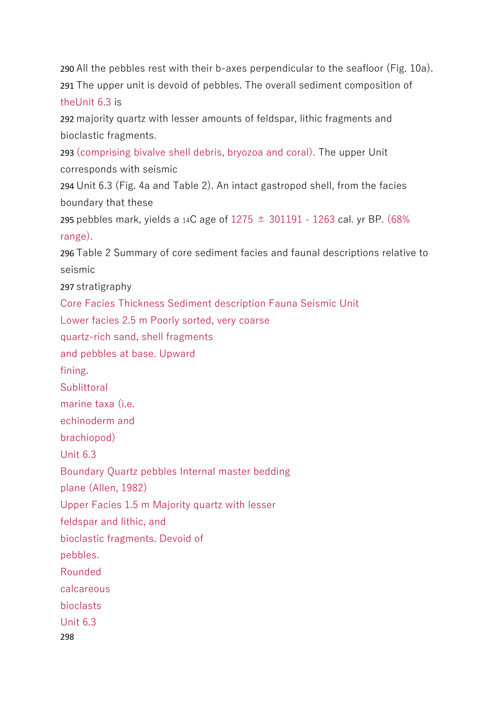290 All the pebbles rest with their b-axes perpendicular to the seafloor (Fig. 10a). 291 The upper unit is devoid of pebbles. The overall sediment composition of theUnit 6.3 is

292 majority quartz with lesser amounts of feldspar, lithic fragments and bioclastic fragments.

293 (comprising bivalve shell debris, bryozoa and coral). The upper Unit corresponds with seismic

294 Unit 6.3 (Fig. 4a and Table 2). An intact gastropod shell, from the facies boundary that these

295 pebbles mark, yields a 14C age of  $1275 \pm 301191 - 1263$  cal. yr BP. (68%) range).

296 Table 2 Summary of core sediment facies and faunal descriptions relative to seismic

297 stratigraphy

Core Facies Thickness Sediment description Fauna Seismic Unit

Lower facies 2.5 m Poorly sorted, very coarse

quartz-rich sand, shell fragments

and pebbles at base. Upward

fining.

**Sublittoral** 

marine taxa (i.e.

echinoderm and

brachiopod)

Unit 6.3

Boundary Quartz pebbles Internal master bedding

plane (Allen, 1982)

Upper Facies 1.5 m Majority quartz with lesser

feldspar and lithic, and

bioclastic fragments. Devoid of

pebbles.

Rounded

calcareous

bioclasts

Unit 6.3

298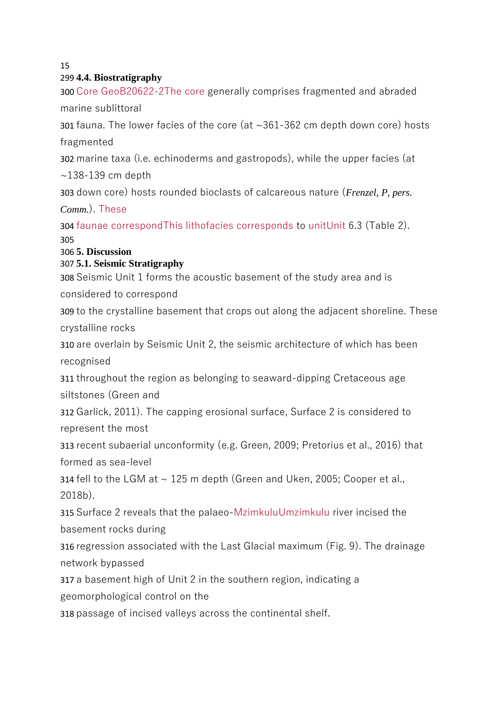#### 15

#### 299 **4.4. Biostratigraphy**

300 Core GeoB20622-2The core generally comprises fragmented and abraded marine sublittoral

301 fauna. The lower facies of the core (at ~361-362 cm depth down core) hosts fragmented

302 marine taxa (i.e. echinoderms and gastropods), while the upper facies (at

 $\sim$ 138-139 cm depth

303 down core) hosts rounded bioclasts of calcareous nature (*Frenzel, P, pers.* 

*Comm.*). These

304 faunae correspondThis lithofacies corresponds to unitUnit 6.3 (Table 2). 305

#### 306 **5. Discussion**

### 307 **5.1. Seismic Stratigraphy**

308 Seismic Unit 1 forms the acoustic basement of the study area and is

considered to correspond

309 to the crystalline basement that crops out along the adjacent shoreline. These crystalline rocks

310 are overlain by Seismic Unit 2, the seismic architecture of which has been recognised

311 throughout the region as belonging to seaward-dipping Cretaceous age siltstones (Green and

312 Garlick, 2011). The capping erosional surface, Surface 2 is considered to represent the most

313 recent subaerial unconformity (e.g. Green, 2009; Pretorius et al., 2016) that formed as sea-level

314 fell to the LGM at  $\sim$  125 m depth (Green and Uken, 2005; Cooper et al., 2018b).

315 Surface 2 reveals that the palaeo-MzimkuluUmzimkulu river incised the basement rocks during

316 regression associated with the Last Glacial maximum (Fig. 9). The drainage network bypassed

317 a basement high of Unit 2 in the southern region, indicating a

geomorphological control on the

318 passage of incised valleys across the continental shelf.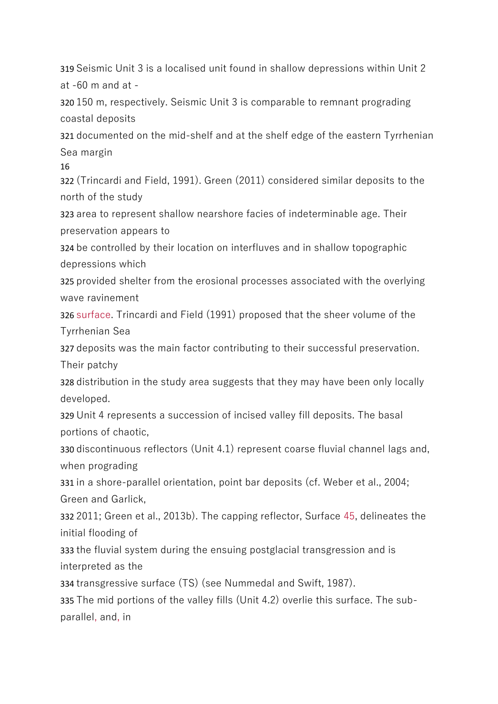319 Seismic Unit 3 is a localised unit found in shallow depressions within Unit 2 at -60 m and at -

320 150 m, respectively. Seismic Unit 3 is comparable to remnant prograding coastal deposits

321 documented on the mid-shelf and at the shelf edge of the eastern Tyrrhenian Sea margin

16

322 (Trincardi and Field, 1991). Green (2011) considered similar deposits to the north of the study

323 area to represent shallow nearshore facies of indeterminable age. Their preservation appears to

324 be controlled by their location on interfluves and in shallow topographic depressions which

325 provided shelter from the erosional processes associated with the overlying wave ravinement

326 surface. Trincardi and Field (1991) proposed that the sheer volume of the Tyrrhenian Sea

327 deposits was the main factor contributing to their successful preservation. Their patchy

328 distribution in the study area suggests that they may have been only locally developed.

329 Unit 4 represents a succession of incised valley fill deposits. The basal portions of chaotic,

330 discontinuous reflectors (Unit 4.1) represent coarse fluvial channel lags and, when prograding

331 in a shore-parallel orientation, point bar deposits (cf. Weber et al., 2004; Green and Garlick,

332 2011; Green et al., 2013b). The capping reflector, Surface 45, delineates the initial flooding of

333 the fluvial system during the ensuing postglacial transgression and is interpreted as the

334 transgressive surface (TS) (see Nummedal and Swift, 1987).

335 The mid portions of the valley fills (Unit 4.2) overlie this surface. The subparallel, and, in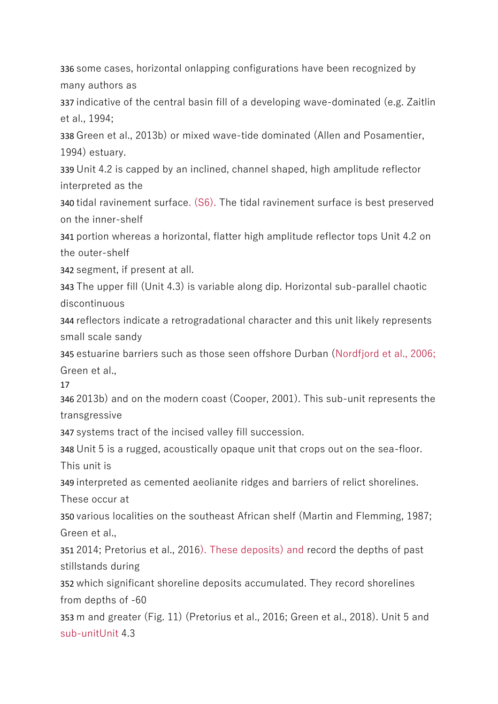336 some cases, horizontal onlapping configurations have been recognized by many authors as

337 indicative of the central basin fill of a developing wave-dominated (e.g. Zaitlin et al., 1994;

338 Green et al., 2013b) or mixed wave-tide dominated (Allen and Posamentier, 1994) estuary.

339 Unit 4.2 is capped by an inclined, channel shaped, high amplitude reflector interpreted as the

340 tidal ravinement surface. (S6). The tidal ravinement surface is best preserved on the inner-shelf

341 portion whereas a horizontal, flatter high amplitude reflector tops Unit 4.2 on the outer-shelf

342 segment, if present at all.

343 The upper fill (Unit 4.3) is variable along dip. Horizontal sub-parallel chaotic discontinuous

344 reflectors indicate a retrogradational character and this unit likely represents small scale sandy

345 estuarine barriers such as those seen offshore Durban (Nordfjord et al., 2006; Green et al.,

17

346 2013b) and on the modern coast (Cooper, 2001). This sub-unit represents the transgressive

347 systems tract of the incised valley fill succession.

348 Unit 5 is a rugged, acoustically opaque unit that crops out on the sea-floor. This unit is

349 interpreted as cemented aeolianite ridges and barriers of relict shorelines. These occur at

350 various localities on the southeast African shelf (Martin and Flemming, 1987; Green et al.,

351 2014; Pretorius et al., 2016). These deposits) and record the depths of past stillstands during

352 which significant shoreline deposits accumulated. They record shorelines from depths of -60

353 m and greater (Fig. 11) (Pretorius et al., 2016; Green et al., 2018). Unit 5 and sub-unitUnit 4.3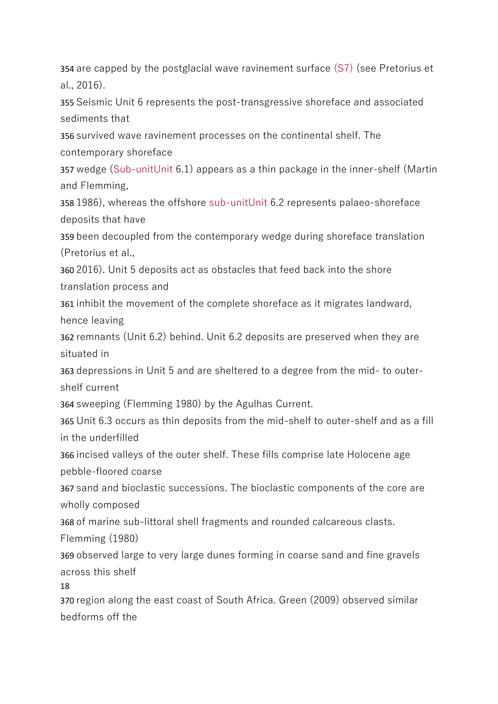354 are capped by the postglacial wave ravinement surface (S7) (see Pretorius et al., 2016).

355 Seismic Unit 6 represents the post-transgressive shoreface and associated sediments that

356 survived wave ravinement processes on the continental shelf. The contemporary shoreface

357 wedge (Sub-unitUnit 6.1) appears as a thin package in the inner-shelf (Martin and Flemming,

358 1986), whereas the offshore sub-unitUnit 6.2 represents palaeo-shoreface deposits that have

359 been decoupled from the contemporary wedge during shoreface translation (Pretorius et al.,

360 2016). Unit 5 deposits act as obstacles that feed back into the shore translation process and

361 inhibit the movement of the complete shoreface as it migrates landward, hence leaving

362 remnants (Unit 6.2) behind. Unit 6.2 deposits are preserved when they are situated in

363 depressions in Unit 5 and are sheltered to a degree from the mid- to outershelf current

364 sweeping (Flemming 1980) by the Agulhas Current.

365 Unit 6.3 occurs as thin deposits from the mid-shelf to outer-shelf and as a fill in the underfilled

366 incised valleys of the outer shelf. These fills comprise late Holocene age pebble-floored coarse

367 sand and bioclastic successions. The bioclastic components of the core are wholly composed

368 of marine sub-littoral shell fragments and rounded calcareous clasts.

Flemming (1980)

369 observed large to very large dunes forming in coarse sand and fine gravels across this shelf

18

370 region along the east coast of South Africa. Green (2009) observed similar bedforms off the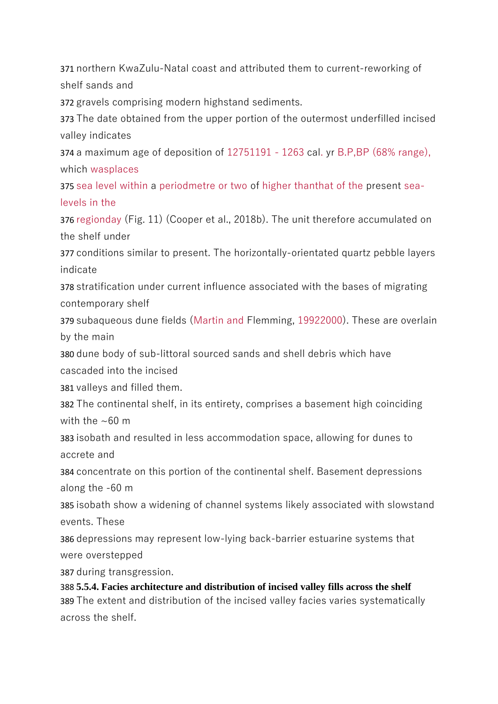371 northern KwaZulu-Natal coast and attributed them to current-reworking of shelf sands and

372 gravels comprising modern highstand sediments.

373 The date obtained from the upper portion of the outermost underfilled incised valley indicates

374 a maximum age of deposition of 12751191 - 1263 cal. yr B.P,BP (68% range), which wasplaces

375 sea level within a periodmetre or two of higher thanthat of the present sealevels in the

376 regionday (Fig. 11) (Cooper et al., 2018b). The unit therefore accumulated on the shelf under

377 conditions similar to present. The horizontally-orientated quartz pebble layers indicate

378 stratification under current influence associated with the bases of migrating contemporary shelf

379 subaqueous dune fields (Martin and Flemming, 19922000). These are overlain by the main

380 dune body of sub-littoral sourced sands and shell debris which have cascaded into the incised

381 valleys and filled them.

382 The continental shelf, in its entirety, comprises a basement high coinciding with the  $\sim$ 60 m

383 isobath and resulted in less accommodation space, allowing for dunes to accrete and

384 concentrate on this portion of the continental shelf. Basement depressions along the -60 m

385 isobath show a widening of channel systems likely associated with slowstand events. These

386 depressions may represent low-lying back-barrier estuarine systems that were overstepped

387 during transgression.

388 **5.5.4. Facies architecture and distribution of incised valley fills across the shelf** 389 The extent and distribution of the incised valley facies varies systematically across the shelf.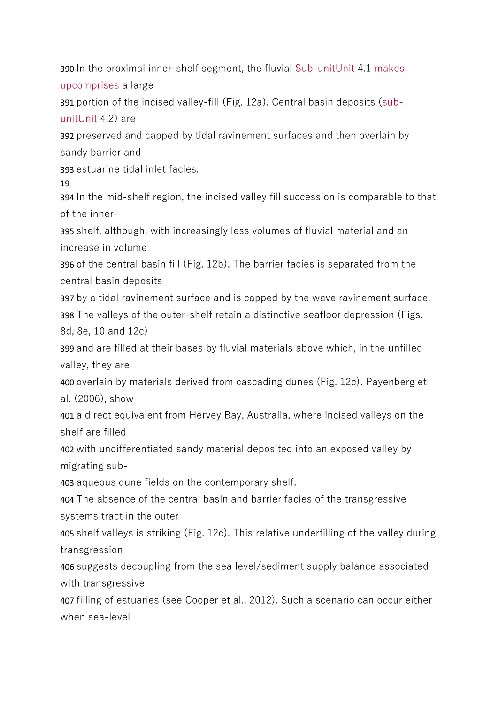390 In the proximal inner-shelf segment, the fluvial Sub-unitUnit 4.1 makes upcomprises a large

391 portion of the incised valley-fill (Fig. 12a). Central basin deposits (subunitUnit 4.2) are

392 preserved and capped by tidal ravinement surfaces and then overlain by sandy barrier and

393 estuarine tidal inlet facies.

19

394 In the mid-shelf region, the incised valley fill succession is comparable to that of the inner-

395 shelf, although, with increasingly less volumes of fluvial material and an increase in volume

396 of the central basin fill (Fig. 12b). The barrier facies is separated from the central basin deposits

397 by a tidal ravinement surface and is capped by the wave ravinement surface.

398 The valleys of the outer-shelf retain a distinctive seafloor depression (Figs. 8d, 8e, 10 and 12c)

399 and are filled at their bases by fluvial materials above which, in the unfilled valley, they are

400 overlain by materials derived from cascading dunes (Fig. 12c). Payenberg et al. (2006), show

401 a direct equivalent from Hervey Bay, Australia, where incised valleys on the shelf are filled

402 with undifferentiated sandy material deposited into an exposed valley by migrating sub-

403 aqueous dune fields on the contemporary shelf.

404 The absence of the central basin and barrier facies of the transgressive systems tract in the outer

405 shelf valleys is striking (Fig. 12c). This relative underfilling of the valley during transgression

406 suggests decoupling from the sea level/sediment supply balance associated with transgressive

407 filling of estuaries (see Cooper et al., 2012). Such a scenario can occur either when sea-level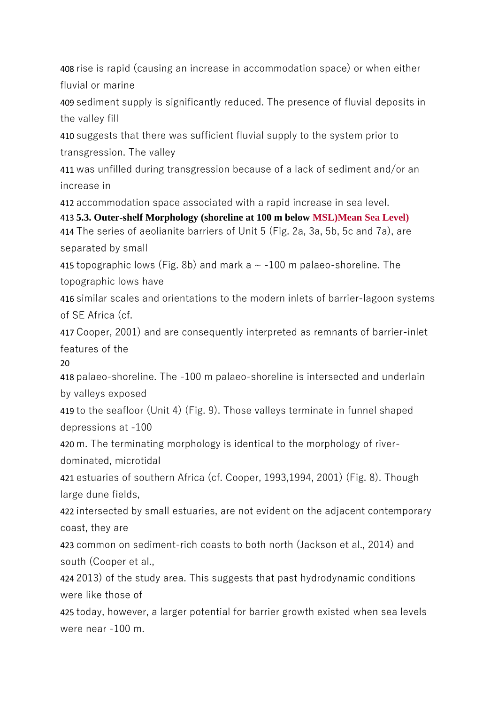408 rise is rapid (causing an increase in accommodation space) or when either fluvial or marine

409 sediment supply is significantly reduced. The presence of fluvial deposits in the valley fill

410 suggests that there was sufficient fluvial supply to the system prior to transgression. The valley

411 was unfilled during transgression because of a lack of sediment and/or an increase in

412 accommodation space associated with a rapid increase in sea level.

413 **5.3. Outer-shelf Morphology (shoreline at 100 m below MSL)Mean Sea Level)** 414 The series of aeolianite barriers of Unit 5 (Fig. 2a, 3a, 5b, 5c and 7a), are separated by small

415 topographic lows (Fig. 8b) and mark a  $\sim$  -100 m palaeo-shoreline. The topographic lows have

416 similar scales and orientations to the modern inlets of barrier-lagoon systems of SE Africa (cf.

417 Cooper, 2001) and are consequently interpreted as remnants of barrier-inlet features of the

20

418 palaeo-shoreline. The -100 m palaeo-shoreline is intersected and underlain by valleys exposed

419 to the seafloor (Unit 4) (Fig. 9). Those valleys terminate in funnel shaped depressions at -100

420 m. The terminating morphology is identical to the morphology of riverdominated, microtidal

421 estuaries of southern Africa (cf. Cooper, 1993,1994, 2001) (Fig. 8). Though large dune fields,

422 intersected by small estuaries, are not evident on the adjacent contemporary coast, they are

423 common on sediment-rich coasts to both north (Jackson et al., 2014) and south (Cooper et al.,

424 2013) of the study area. This suggests that past hydrodynamic conditions were like those of

425 today, however, a larger potential for barrier growth existed when sea levels were near -100 m.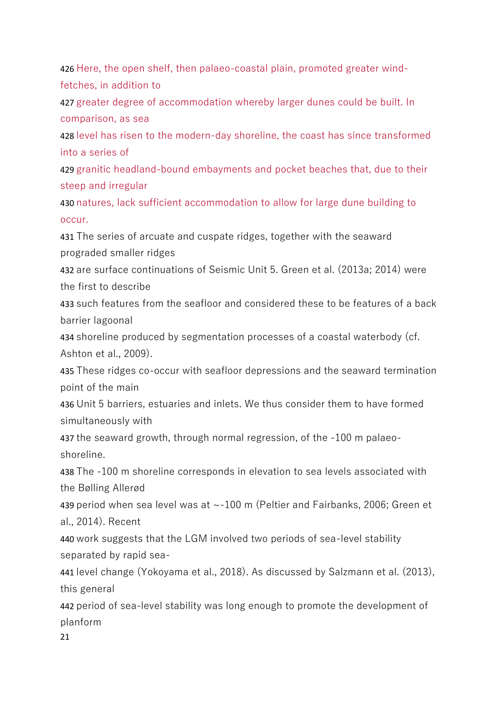426 Here, the open shelf, then palaeo-coastal plain, promoted greater windfetches, in addition to

427 greater degree of accommodation whereby larger dunes could be built. In comparison, as sea

428 level has risen to the modern-day shoreline, the coast has since transformed into a series of

429 granitic headland-bound embayments and pocket beaches that, due to their steep and irregular

430 natures, lack sufficient accommodation to allow for large dune building to occur.

431 The series of arcuate and cuspate ridges, together with the seaward prograded smaller ridges

432 are surface continuations of Seismic Unit 5. Green et al. (2013a; 2014) were the first to describe

433 such features from the seafloor and considered these to be features of a back barrier lagoonal

434 shoreline produced by segmentation processes of a coastal waterbody (cf. Ashton et al., 2009).

435 These ridges co-occur with seafloor depressions and the seaward termination point of the main

436 Unit 5 barriers, estuaries and inlets. We thus consider them to have formed simultaneously with

437 the seaward growth, through normal regression, of the -100 m palaeoshoreline.

438 The -100 m shoreline corresponds in elevation to sea levels associated with the Bølling Allerød

439 period when sea level was at ~-100 m (Peltier and Fairbanks, 2006; Green et al., 2014). Recent

440 work suggests that the LGM involved two periods of sea-level stability separated by rapid sea-

441 level change (Yokoyama et al., 2018). As discussed by Salzmann et al. (2013), this general

442 period of sea-level stability was long enough to promote the development of planform

21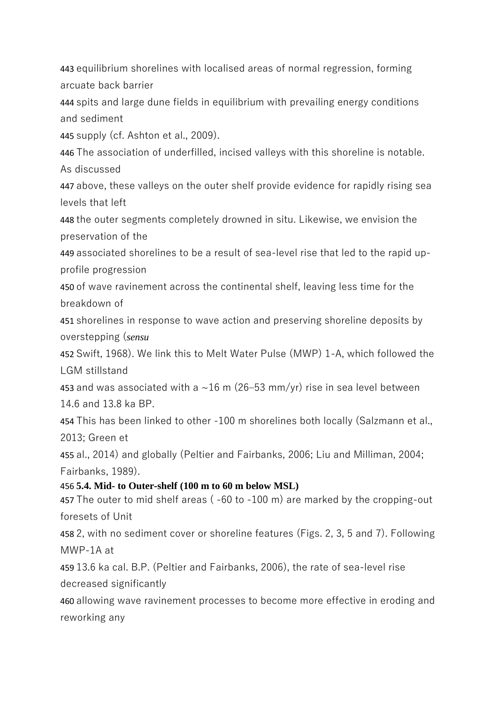443 equilibrium shorelines with localised areas of normal regression, forming arcuate back barrier

444 spits and large dune fields in equilibrium with prevailing energy conditions and sediment

445 supply (cf. Ashton et al., 2009).

446 The association of underfilled, incised valleys with this shoreline is notable. As discussed

447 above, these valleys on the outer shelf provide evidence for rapidly rising sea levels that left

448 the outer segments completely drowned in situ. Likewise, we envision the preservation of the

449 associated shorelines to be a result of sea-level rise that led to the rapid upprofile progression

450 of wave ravinement across the continental shelf, leaving less time for the breakdown of

451 shorelines in response to wave action and preserving shoreline deposits by overstepping (*sensu*

452 Swift, 1968). We link this to Melt Water Pulse (MWP) 1-A, which followed the LGM stillstand

453 and was associated with a  $\sim$ 16 m (26–53 mm/yr) rise in sea level between 14.6 and 13.8 ka BP.

454 This has been linked to other -100 m shorelines both locally (Salzmann et al., 2013; Green et

455 al., 2014) and globally (Peltier and Fairbanks, 2006; Liu and Milliman, 2004; Fairbanks, 1989).

456 **5.4. Mid- to Outer-shelf (100 m to 60 m below MSL)**

457 The outer to mid shelf areas ( -60 to -100 m) are marked by the cropping-out foresets of Unit

458 2, with no sediment cover or shoreline features (Figs. 2, 3, 5 and 7). Following MWP-1A at

459 13.6 ka cal. B.P. (Peltier and Fairbanks, 2006), the rate of sea-level rise decreased significantly

460 allowing wave ravinement processes to become more effective in eroding and reworking any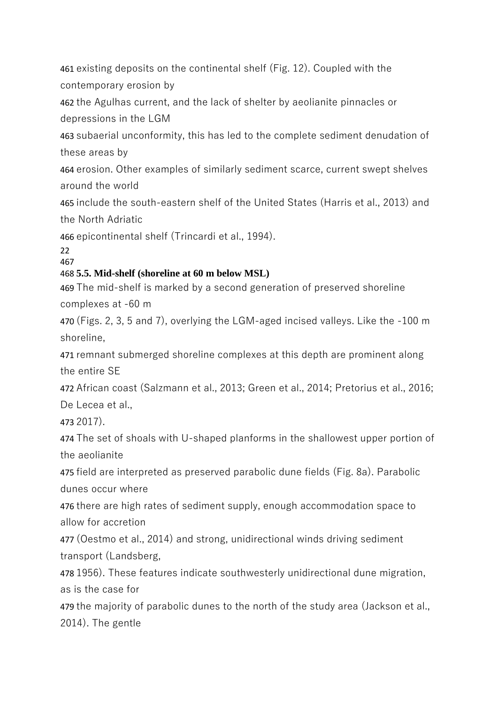461 existing deposits on the continental shelf (Fig. 12). Coupled with the contemporary erosion by

462 the Agulhas current, and the lack of shelter by aeolianite pinnacles or depressions in the LGM

463 subaerial unconformity, this has led to the complete sediment denudation of these areas by

464 erosion. Other examples of similarly sediment scarce, current swept shelves around the world

465 include the south-eastern shelf of the United States (Harris et al., 2013) and the North Adriatic

466 epicontinental shelf (Trincardi et al., 1994).

22 467

#### 468 **5.5. Mid-shelf (shoreline at 60 m below MSL)**

469 The mid-shelf is marked by a second generation of preserved shoreline complexes at -60 m

470 (Figs. 2, 3, 5 and 7), overlying the LGM-aged incised valleys. Like the -100 m shoreline,

471 remnant submerged shoreline complexes at this depth are prominent along the entire SE

472 African coast (Salzmann et al., 2013; Green et al., 2014; Pretorius et al., 2016; De Lecea et al.,

473 2017).

474 The set of shoals with U-shaped planforms in the shallowest upper portion of the aeolianite

475 field are interpreted as preserved parabolic dune fields (Fig. 8a). Parabolic dunes occur where

476 there are high rates of sediment supply, enough accommodation space to allow for accretion

477 (Oestmo et al., 2014) and strong, unidirectional winds driving sediment transport (Landsberg,

478 1956). These features indicate southwesterly unidirectional dune migration, as is the case for

479 the majority of parabolic dunes to the north of the study area (Jackson et al., 2014). The gentle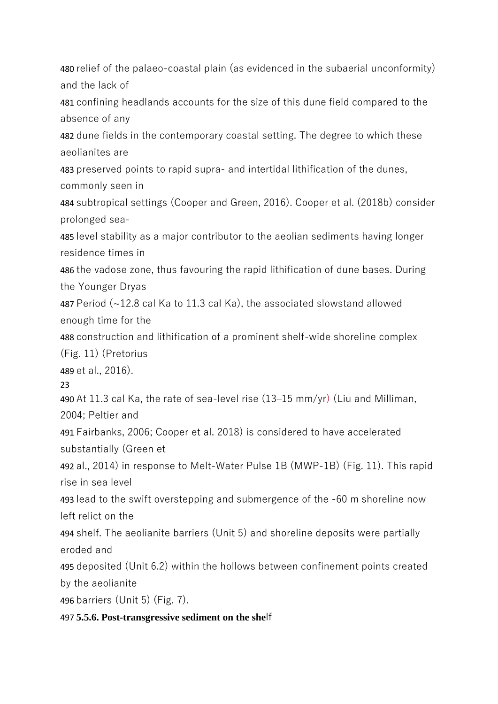480 relief of the palaeo-coastal plain (as evidenced in the subaerial unconformity) and the lack of 481 confining headlands accounts for the size of this dune field compared to the absence of any 482 dune fields in the contemporary coastal setting. The degree to which these aeolianites are 483 preserved points to rapid supra- and intertidal lithification of the dunes, commonly seen in 484 subtropical settings (Cooper and Green, 2016). Cooper et al. (2018b) consider prolonged sea-485 level stability as a major contributor to the aeolian sediments having longer residence times in 486 the vadose zone, thus favouring the rapid lithification of dune bases. During the Younger Dryas 487 Period (~12.8 cal Ka to 11.3 cal Ka), the associated slowstand allowed enough time for the 488 construction and lithification of a prominent shelf-wide shoreline complex (Fig. 11) (Pretorius 489 et al., 2016). 23 490 At 11.3 cal Ka, the rate of sea-level rise (13–15 mm/yr) (Liu and Milliman, 2004; Peltier and 491 Fairbanks, 2006; Cooper et al. 2018) is considered to have accelerated substantially (Green et 492 al., 2014) in response to Melt-Water Pulse 1B (MWP-1B) (Fig. 11). This rapid rise in sea level 493 lead to the swift overstepping and submergence of the -60 m shoreline now left relict on the 494 shelf. The aeolianite barriers (Unit 5) and shoreline deposits were partially eroded and 495 deposited (Unit 6.2) within the hollows between confinement points created by the aeolianite 496 barriers (Unit 5) (Fig. 7). 497 **5.5.6. Post-transgressive sediment on the she**lf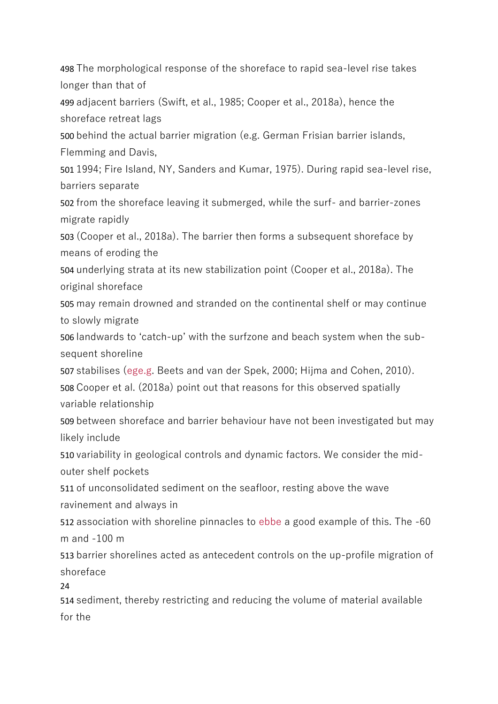498 The morphological response of the shoreface to rapid sea-level rise takes longer than that of

499 adjacent barriers (Swift, et al., 1985; Cooper et al., 2018a), hence the shoreface retreat lags

500 behind the actual barrier migration (e.g. German Frisian barrier islands, Flemming and Davis,

501 1994; Fire Island, NY, Sanders and Kumar, 1975). During rapid sea-level rise, barriers separate

502 from the shoreface leaving it submerged, while the surf- and barrier-zones migrate rapidly

503 (Cooper et al., 2018a). The barrier then forms a subsequent shoreface by means of eroding the

504 underlying strata at its new stabilization point (Cooper et al., 2018a). The original shoreface

505 may remain drowned and stranded on the continental shelf or may continue to slowly migrate

506 landwards to 'catch-up' with the surfzone and beach system when the subsequent shoreline

507 stabilises (ege.g. Beets and van der Spek, 2000; Hijma and Cohen, 2010). 508 Cooper et al. (2018a) point out that reasons for this observed spatially variable relationship

509 between shoreface and barrier behaviour have not been investigated but may likely include

510 variability in geological controls and dynamic factors. We consider the midouter shelf pockets

511 of unconsolidated sediment on the seafloor, resting above the wave ravinement and always in

512 association with shoreline pinnacles to ebbe a good example of this. The -60 m and -100 m

513 barrier shorelines acted as antecedent controls on the up-profile migration of shoreface

24

514 sediment, thereby restricting and reducing the volume of material available for the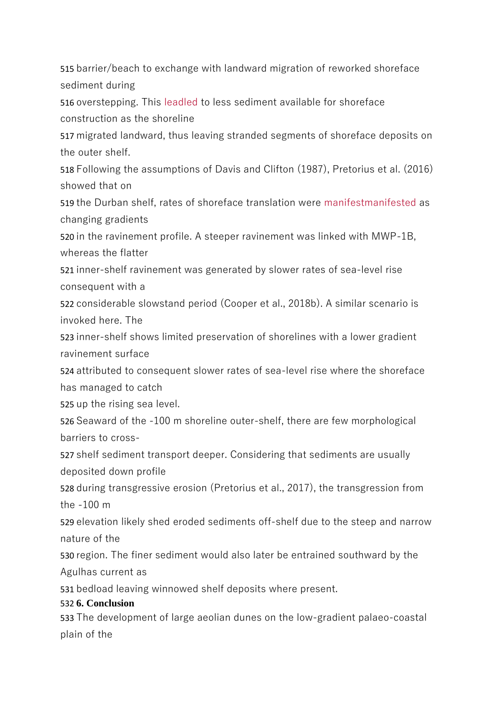515 barrier/beach to exchange with landward migration of reworked shoreface sediment during

516 overstepping. This leadled to less sediment available for shoreface construction as the shoreline

517 migrated landward, thus leaving stranded segments of shoreface deposits on the outer shelf.

518 Following the assumptions of Davis and Clifton (1987), Pretorius et al. (2016) showed that on

519 the Durban shelf, rates of shoreface translation were manifestmanifested as changing gradients

520 in the ravinement profile. A steeper ravinement was linked with MWP-1B, whereas the flatter

521 inner-shelf ravinement was generated by slower rates of sea-level rise consequent with a

522 considerable slowstand period (Cooper et al., 2018b). A similar scenario is invoked here. The

523 inner-shelf shows limited preservation of shorelines with a lower gradient ravinement surface

524 attributed to consequent slower rates of sea-level rise where the shoreface has managed to catch

525 up the rising sea level.

526 Seaward of the -100 m shoreline outer-shelf, there are few morphological barriers to cross-

527 shelf sediment transport deeper. Considering that sediments are usually deposited down profile

528 during transgressive erosion (Pretorius et al., 2017), the transgression from the -100 m

529 elevation likely shed eroded sediments off-shelf due to the steep and narrow nature of the

530 region. The finer sediment would also later be entrained southward by the Agulhas current as

531 bedload leaving winnowed shelf deposits where present.

### 532 **6. Conclusion**

533 The development of large aeolian dunes on the low-gradient palaeo-coastal plain of the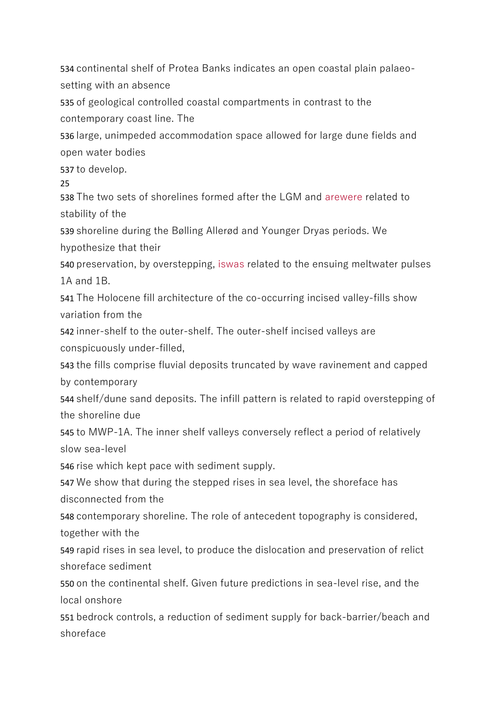534 continental shelf of Protea Banks indicates an open coastal plain palaeosetting with an absence

535 of geological controlled coastal compartments in contrast to the contemporary coast line. The

536 large, unimpeded accommodation space allowed for large dune fields and open water bodies

537 to develop.

25

538 The two sets of shorelines formed after the LGM and arewere related to stability of the

539 shoreline during the Bølling Allerød and Younger Dryas periods. We hypothesize that their

540 preservation, by overstepping, iswas related to the ensuing meltwater pulses 1A and 1B.

541 The Holocene fill architecture of the co-occurring incised valley-fills show variation from the

542 inner-shelf to the outer-shelf. The outer-shelf incised valleys are conspicuously under-filled,

543 the fills comprise fluvial deposits truncated by wave ravinement and capped by contemporary

544 shelf/dune sand deposits. The infill pattern is related to rapid overstepping of the shoreline due

545 to MWP-1A. The inner shelf valleys conversely reflect a period of relatively slow sea-level

546 rise which kept pace with sediment supply.

547 We show that during the stepped rises in sea level, the shoreface has disconnected from the

548 contemporary shoreline. The role of antecedent topography is considered, together with the

549 rapid rises in sea level, to produce the dislocation and preservation of relict shoreface sediment

550 on the continental shelf. Given future predictions in sea-level rise, and the local onshore

551 bedrock controls, a reduction of sediment supply for back-barrier/beach and shoreface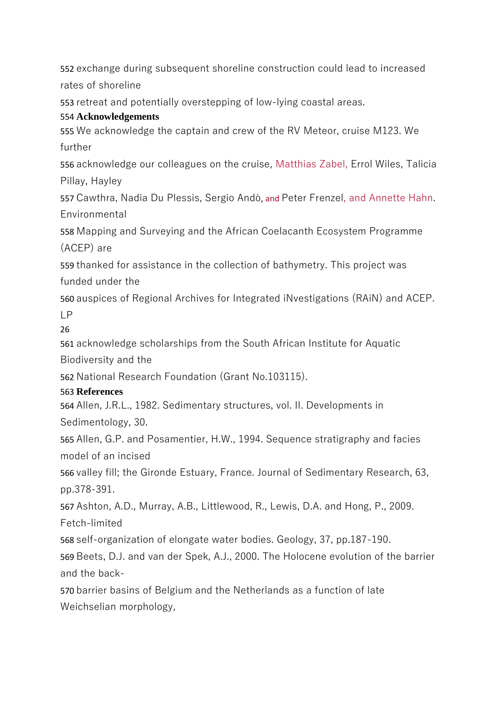552 exchange during subsequent shoreline construction could lead to increased rates of shoreline

553 retreat and potentially overstepping of low-lying coastal areas.

#### 554 **Acknowledgements**

555 We acknowledge the captain and crew of the RV Meteor, cruise M123. We further

556 acknowledge our colleagues on the cruise, Matthias Zabel, Errol Wiles, Talicia Pillay, Hayley

557 Cawthra, Nadia Du Plessis, Sergio Andò, and Peter Frenzel, and Annette Hahn. Environmental

558 Mapping and Surveying and the African Coelacanth Ecosystem Programme (ACEP) are

559 thanked for assistance in the collection of bathymetry. This project was funded under the

560 auspices of Regional Archives for Integrated iNvestigations (RAiN) and ACEP. LP

26

561 acknowledge scholarships from the South African Institute for Aquatic Biodiversity and the

562 National Research Foundation (Grant No.103115).

### 563 **References**

564 Allen, J.R.L., 1982. Sedimentary structures, vol. II. Developments in Sedimentology, 30.

565 Allen, G.P. and Posamentier, H.W., 1994. Sequence stratigraphy and facies model of an incised

566 valley fill; the Gironde Estuary, France. Journal of Sedimentary Research, 63, pp.378-391.

567 Ashton, A.D., Murray, A.B., Littlewood, R., Lewis, D.A. and Hong, P., 2009. Fetch-limited

568 self-organization of elongate water bodies. Geology, 37, pp.187-190.

569 Beets, D.J. and van der Spek, A.J., 2000. The Holocene evolution of the barrier and the back-

570 barrier basins of Belgium and the Netherlands as a function of late Weichselian morphology,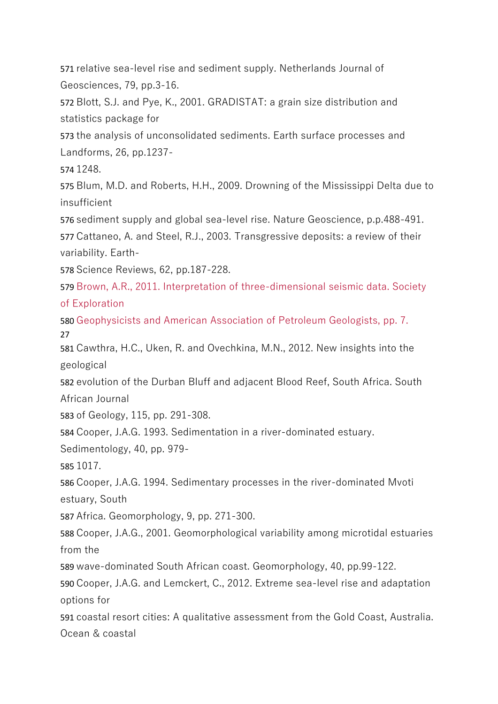relative sea-level rise and sediment supply. Netherlands Journal of Geosciences, 79, pp.3-16.

Blott, S.J. and Pye, K., 2001. GRADISTAT: a grain size distribution and statistics package for

the analysis of unconsolidated sediments. Earth surface processes and Landforms, 26, pp.1237-

1248.

Blum, M.D. and Roberts, H.H., 2009. Drowning of the Mississippi Delta due to insufficient

sediment supply and global sea-level rise. Nature Geoscience, p.p.488-491.

Cattaneo, A. and Steel, R.J., 2003. Transgressive deposits: a review of their variability. Earth-

Science Reviews, 62, pp.187-228.

Brown, A.R., 2011. Interpretation of three-dimensional seismic data. Society of Exploration

Geophysicists and American Association of Petroleum Geologists, pp. 7. 

Cawthra, H.C., Uken, R. and Ovechkina, M.N., 2012. New insights into the geological

evolution of the Durban Bluff and adjacent Blood Reef, South Africa. South African Journal

of Geology, 115, pp. 291-308.

Cooper, J.A.G. 1993. Sedimentation in a river-dominated estuary.

Sedimentology, 40, pp. 979-

1017.

Cooper, J.A.G. 1994. Sedimentary processes in the river-dominated Mvoti estuary, South

Africa. Geomorphology, 9, pp. 271-300.

Cooper, J.A.G., 2001. Geomorphological variability among microtidal estuaries from the

wave-dominated South African coast. Geomorphology, 40, pp.99-122.

Cooper, J.A.G. and Lemckert, C., 2012. Extreme sea-level rise and adaptation options for

coastal resort cities: A qualitative assessment from the Gold Coast, Australia. Ocean & coastal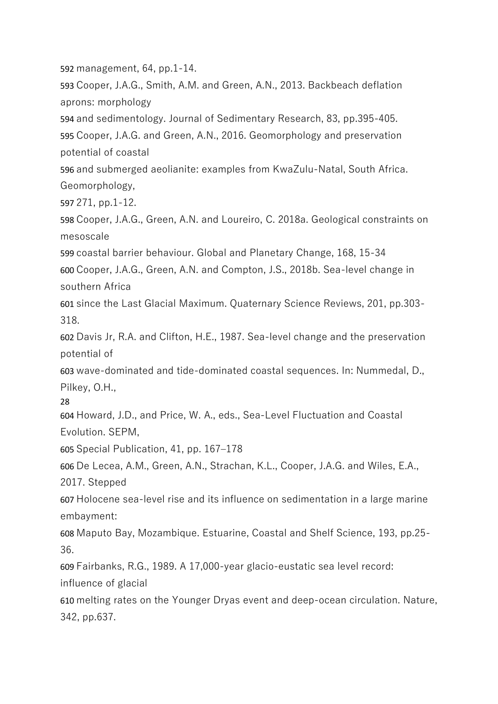592 management, 64, pp.1-14.

593 Cooper, J.A.G., Smith, A.M. and Green, A.N., 2013. Backbeach deflation aprons: morphology

594 and sedimentology. Journal of Sedimentary Research, 83, pp.395-405. 595 Cooper, J.A.G. and Green, A.N., 2016. Geomorphology and preservation potential of coastal

596 and submerged aeolianite: examples from KwaZulu-Natal, South Africa. Geomorphology,

597 271, pp.1-12.

598 Cooper, J.A.G., Green, A.N. and Loureiro, C. 2018a. Geological constraints on mesoscale

599 coastal barrier behaviour. Global and Planetary Change, 168, 15-34

600 Cooper, J.A.G., Green, A.N. and Compton, J.S., 2018b. Sea-level change in southern Africa

601 since the Last Glacial Maximum. Quaternary Science Reviews, 201, pp.303- 318.

602 Davis Jr, R.A. and Clifton, H.E., 1987. Sea-level change and the preservation potential of

603 wave-dominated and tide-dominated coastal sequences. In: Nummedal, D., Pilkey, O.H.,

28

604 Howard, J.D., and Price, W. A., eds., Sea-Level Fluctuation and Coastal Evolution. SEPM,

605 Special Publication, 41, pp. 167–178

606 De Lecea, A.M., Green, A.N., Strachan, K.L., Cooper, J.A.G. and Wiles, E.A.,

2017. Stepped

607 Holocene sea-level rise and its influence on sedimentation in a large marine embayment:

608 Maputo Bay, Mozambique. Estuarine, Coastal and Shelf Science, 193, pp.25- 36.

609 Fairbanks, R.G., 1989. A 17,000-year glacio-eustatic sea level record:

influence of glacial

610 melting rates on the Younger Dryas event and deep-ocean circulation. Nature, 342, pp.637.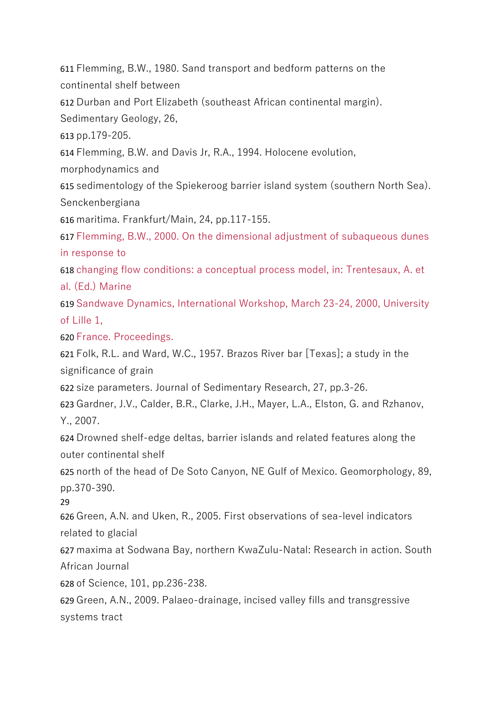611 Flemming, B.W., 1980. Sand transport and bedform patterns on the continental shelf between

612 Durban and Port Elizabeth (southeast African continental margin).

Sedimentary Geology, 26,

613 pp.179-205.

614 Flemming, B.W. and Davis Jr, R.A., 1994. Holocene evolution,

morphodynamics and

615 sedimentology of the Spiekeroog barrier island system (southern North Sea). Senckenbergiana

616 maritima. Frankfurt/Main, 24, pp.117-155.

617 Flemming, B.W., 2000. On the dimensional adjustment of subaqueous dunes in response to

618 changing flow conditions: a conceptual process model, in: Trentesaux, A. et al. (Ed.) Marine

619 Sandwave Dynamics, International Workshop, March 23-24, 2000, University of Lille 1,

620 France. Proceedings.

621 Folk, R.L. and Ward, W.C., 1957. Brazos River bar [Texas]; a study in the significance of grain

622 size parameters. Journal of Sedimentary Research, 27, pp.3-26.

623 Gardner, J.V., Calder, B.R., Clarke, J.H., Mayer, L.A., Elston, G. and Rzhanov, Y., 2007.

624 Drowned shelf-edge deltas, barrier islands and related features along the outer continental shelf

625 north of the head of De Soto Canyon, NE Gulf of Mexico. Geomorphology, 89, pp.370-390.

29

626 Green, A.N. and Uken, R., 2005. First observations of sea-level indicators related to glacial

627 maxima at Sodwana Bay, northern KwaZulu-Natal: Research in action. South African Journal

628 of Science, 101, pp.236-238.

629 Green, A.N., 2009. Palaeo-drainage, incised valley fills and transgressive systems tract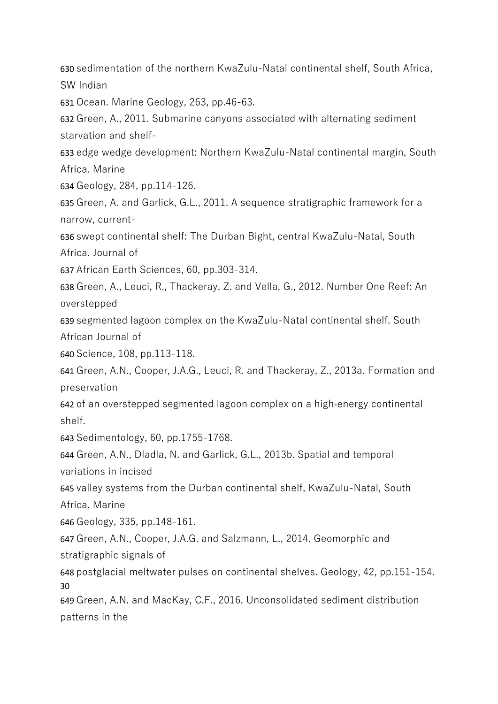sedimentation of the northern KwaZulu-Natal continental shelf, South Africa, SW Indian

Ocean. Marine Geology, 263, pp.46-63.

Green, A., 2011. Submarine canyons associated with alternating sediment starvation and shelf-

edge wedge development: Northern KwaZulu-Natal continental margin, South Africa. Marine

Geology, 284, pp.114-126.

Green, A. and Garlick, G.L., 2011. A sequence stratigraphic framework for a narrow, current-

swept continental shelf: The Durban Bight, central KwaZulu-Natal, South Africa. Journal of

African Earth Sciences, 60, pp.303-314.

Green, A., Leuci, R., Thackeray, Z. and Vella, G., 2012. Number One Reef: An overstepped

segmented lagoon complex on the KwaZulu-Natal continental shelf. South African Journal of

Science, 108, pp.113-118.

Green, A.N., Cooper, J.A.G., Leuci, R. and Thackeray, Z., 2013a. Formation and preservation

of an overstepped segmented lagoon complex on a high‐energy continental shelf.

Sedimentology, 60, pp.1755-1768.

Green, A.N., Dladla, N. and Garlick, G.L., 2013b. Spatial and temporal variations in incised

valley systems from the Durban continental shelf, KwaZulu-Natal, South Africa. Marine

Geology, 335, pp.148-161.

Green, A.N., Cooper, J.A.G. and Salzmann, L., 2014. Geomorphic and stratigraphic signals of

postglacial meltwater pulses on continental shelves. Geology, 42, pp.151-154. 

Green, A.N. and MacKay, C.F., 2016. Unconsolidated sediment distribution patterns in the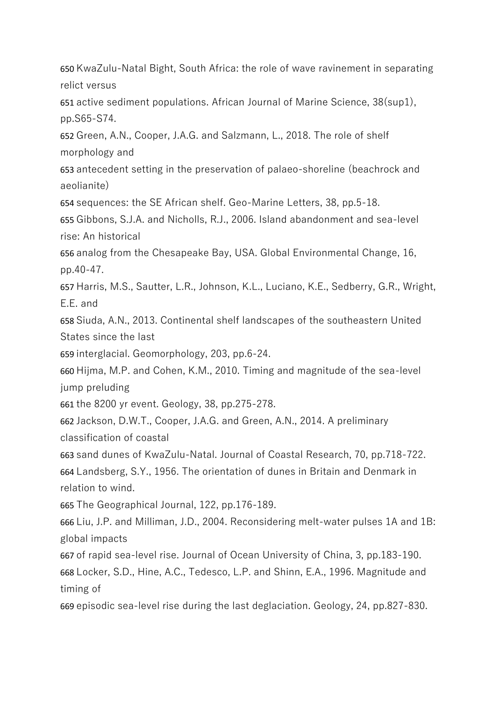KwaZulu-Natal Bight, South Africa: the role of wave ravinement in separating relict versus

active sediment populations. African Journal of Marine Science, 38(sup1), pp.S65-S74.

Green, A.N., Cooper, J.A.G. and Salzmann, L., 2018. The role of shelf morphology and

antecedent setting in the preservation of palaeo-shoreline (beachrock and aeolianite)

sequences: the SE African shelf. Geo-Marine Letters, 38, pp.5-18.

Gibbons, S.J.A. and Nicholls, R.J., 2006. Island abandonment and sea-level rise: An historical

analog from the Chesapeake Bay, USA. Global Environmental Change, 16, pp.40-47.

Harris, M.S., Sautter, L.R., Johnson, K.L., Luciano, K.E., Sedberry, G.R., Wright, E.E. and

Siuda, A.N., 2013. Continental shelf landscapes of the southeastern United States since the last

interglacial. Geomorphology, 203, pp.6-24.

Hijma, M.P. and Cohen, K.M., 2010. Timing and magnitude of the sea-level jump preluding

the 8200 yr event. Geology, 38, pp.275-278.

Jackson, D.W.T., Cooper, J.A.G. and Green, A.N., 2014. A preliminary classification of coastal

sand dunes of KwaZulu-Natal. Journal of Coastal Research, 70, pp.718-722.

Landsberg, S.Y., 1956. The orientation of dunes in Britain and Denmark in relation to wind.

The Geographical Journal, 122, pp.176-189.

Liu, J.P. and Milliman, J.D., 2004. Reconsidering melt-water pulses 1A and 1B: global impacts

of rapid sea-level rise. Journal of Ocean University of China, 3, pp.183-190. Locker, S.D., Hine, A.C., Tedesco, L.P. and Shinn, E.A., 1996. Magnitude and timing of

episodic sea-level rise during the last deglaciation. Geology, 24, pp.827-830.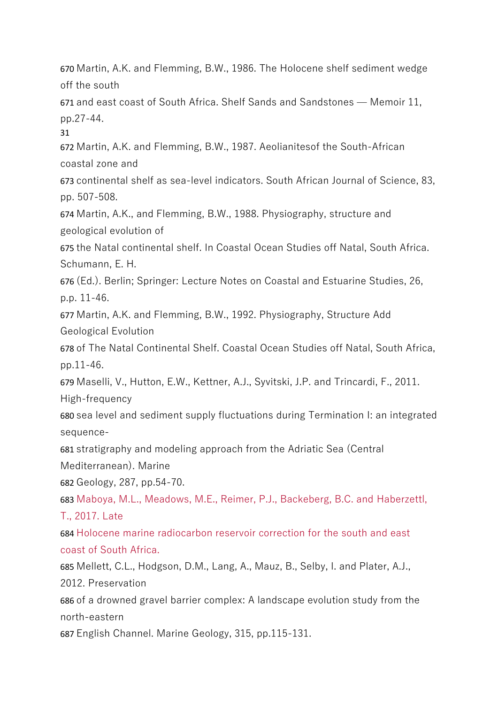670 Martin, A.K. and Flemming, B.W., 1986. The Holocene shelf sediment wedge off the south

671 and east coast of South Africa. Shelf Sands and Sandstones — Memoir 11, pp.27-44.

31

672 Martin, A.K. and Flemming, B.W., 1987. Aeolianitesof the South-African coastal zone and

673 continental shelf as sea-level indicators. South African Journal of Science, 83, pp. 507-508.

674 Martin, A.K., and Flemming, B.W., 1988. Physiography, structure and geological evolution of

675 the Natal continental shelf. In Coastal Ocean Studies off Natal, South Africa. Schumann, E. H.

676 (Ed.). Berlin; Springer: Lecture Notes on Coastal and Estuarine Studies, 26, p.p. 11-46.

677 Martin, A.K. and Flemming, B.W., 1992. Physiography, Structure Add Geological Evolution

678 of The Natal Continental Shelf. Coastal Ocean Studies off Natal, South Africa, pp.11-46.

679 Maselli, V., Hutton, E.W., Kettner, A.J., Syvitski, J.P. and Trincardi, F., 2011.

High-frequency

680 sea level and sediment supply fluctuations during Termination I: an integrated sequence-

681 stratigraphy and modeling approach from the Adriatic Sea (Central

Mediterranean). Marine

682 Geology, 287, pp.54-70.

683 Maboya, M.L., Meadows, M.E., Reimer, P.J., Backeberg, B.C. and Haberzettl, T., 2017. Late

684 Holocene marine radiocarbon reservoir correction for the south and east coast of South Africa.

685 Mellett, C.L., Hodgson, D.M., Lang, A., Mauz, B., Selby, I. and Plater, A.J., 2012. Preservation

686 of a drowned gravel barrier complex: A landscape evolution study from the north-eastern

687 English Channel. Marine Geology, 315, pp.115-131.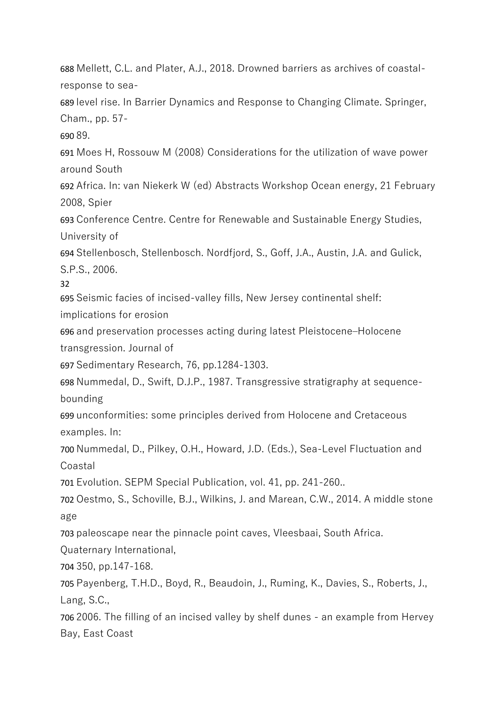688 Mellett, C.L. and Plater, A.J., 2018. Drowned barriers as archives of coastalresponse to sea-

689 level rise. In Barrier Dynamics and Response to Changing Climate. Springer, Cham., pp. 57-

690 89.

691 Moes H, Rossouw M (2008) Considerations for the utilization of wave power around South

692 Africa. In: van Niekerk W (ed) Abstracts Workshop Ocean energy, 21 February 2008, Spier

693 Conference Centre. Centre for Renewable and Sustainable Energy Studies, University of

694 Stellenbosch, Stellenbosch. Nordfjord, S., Goff, J.A., Austin, J.A. and Gulick, S.P.S., 2006.

32

695 Seismic facies of incised-valley fills, New Jersey continental shelf:

implications for erosion

696 and preservation processes acting during latest Pleistocene–Holocene transgression. Journal of

697 Sedimentary Research, 76, pp.1284-1303.

698 Nummedal, D., Swift, D.J.P., 1987. Transgressive stratigraphy at sequencebounding

699 unconformities: some principles derived from Holocene and Cretaceous examples. In:

700 Nummedal, D., Pilkey, O.H., Howard, J.D. (Eds.), Sea-Level Fluctuation and Coastal

701 Evolution. SEPM Special Publication, vol. 41, pp. 241-260..

702 Oestmo, S., Schoville, B.J., Wilkins, J. and Marean, C.W., 2014. A middle stone age

703 paleoscape near the pinnacle point caves, Vleesbaai, South Africa.

Quaternary International,

704 350, pp.147-168.

705 Payenberg, T.H.D., Boyd, R., Beaudoin, J., Ruming, K., Davies, S., Roberts, J., Lang, S.C.,

706 2006. The filling of an incised valley by shelf dunes - an example from Hervey Bay, East Coast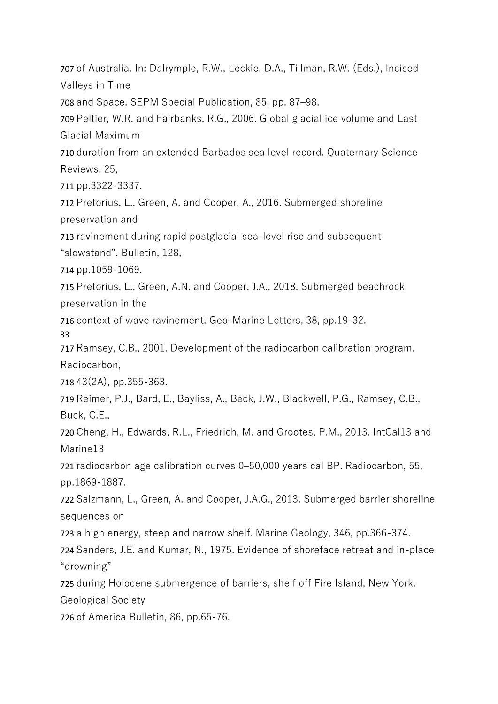of Australia. In: Dalrymple, R.W., Leckie, D.A., Tillman, R.W. (Eds.), Incised Valleys in Time

and Space. SEPM Special Publication, 85, pp. 87–98.

Peltier, W.R. and Fairbanks, R.G., 2006. Global glacial ice volume and Last Glacial Maximum

duration from an extended Barbados sea level record. Quaternary Science Reviews, 25,

pp.3322-3337.

Pretorius, L., Green, A. and Cooper, A., 2016. Submerged shoreline preservation and

ravinement during rapid postglacial sea-level rise and subsequent

"slowstand". Bulletin, 128,

pp.1059-1069.

Pretorius, L., Green, A.N. and Cooper, J.A., 2018. Submerged beachrock preservation in the

context of wave ravinement. Geo-Marine Letters, 38, pp.19-32.

Ramsey, C.B., 2001. Development of the radiocarbon calibration program. Radiocarbon,

43(2A), pp.355-363.

Reimer, P.J., Bard, E., Bayliss, A., Beck, J.W., Blackwell, P.G., Ramsey, C.B., Buck, C.E.,

Cheng, H., Edwards, R.L., Friedrich, M. and Grootes, P.M., 2013. IntCal13 and Marine13

radiocarbon age calibration curves 0–50,000 years cal BP. Radiocarbon, 55, pp.1869-1887.

Salzmann, L., Green, A. and Cooper, J.A.G., 2013. Submerged barrier shoreline sequences on

a high energy, steep and narrow shelf. Marine Geology, 346, pp.366-374.

Sanders, J.E. and Kumar, N., 1975. Evidence of shoreface retreat and in-place "drowning"

during Holocene submergence of barriers, shelf off Fire Island, New York.

Geological Society

of America Bulletin, 86, pp.65-76.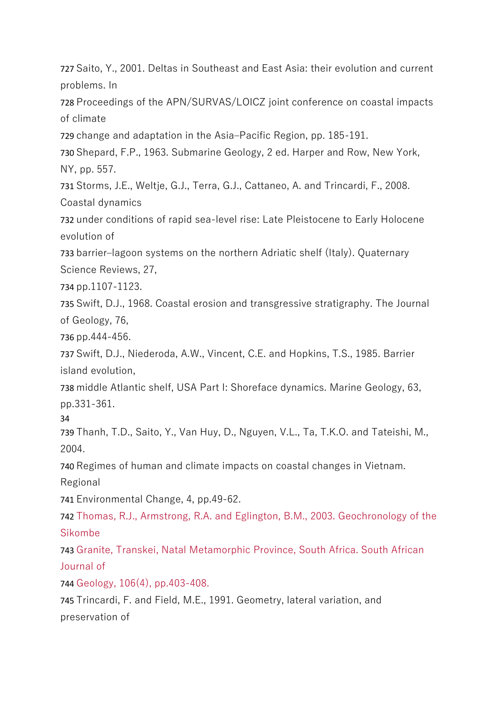727 Saito, Y., 2001. Deltas in Southeast and East Asia: their evolution and current problems. In

728 Proceedings of the APN/SURVAS/LOICZ joint conference on coastal impacts of climate

729 change and adaptation in the Asia–Pacific Region, pp. 185-191.

730 Shepard, F.P., 1963. Submarine Geology, 2 ed. Harper and Row, New York, NY, pp. 557.

731 Storms, J.E., Weltje, G.J., Terra, G.J., Cattaneo, A. and Trincardi, F., 2008. Coastal dynamics

732 under conditions of rapid sea-level rise: Late Pleistocene to Early Holocene evolution of

733 barrier–lagoon systems on the northern Adriatic shelf (Italy). Quaternary Science Reviews, 27,

734 pp.1107-1123.

735 Swift, D.J., 1968. Coastal erosion and transgressive stratigraphy. The Journal of Geology, 76,

736 pp.444-456.

737 Swift, D.J., Niederoda, A.W., Vincent, C.E. and Hopkins, T.S., 1985. Barrier island evolution,

738 middle Atlantic shelf, USA Part I: Shoreface dynamics. Marine Geology, 63, pp.331-361.

34

739 Thanh, T.D., Saito, Y., Van Huy, D., Nguyen, V.L., Ta, T.K.O. and Tateishi, M., 2004.

740 Regimes of human and climate impacts on coastal changes in Vietnam.

Regional

741 Environmental Change, 4, pp.49-62.

742 Thomas, R.J., Armstrong, R.A. and Eglington, B.M., 2003. Geochronology of the Sikombe

743 Granite, Transkei, Natal Metamorphic Province, South Africa. South African Journal of

744 Geology, 106(4), pp.403-408.

745 Trincardi, F. and Field, M.E., 1991. Geometry, lateral variation, and preservation of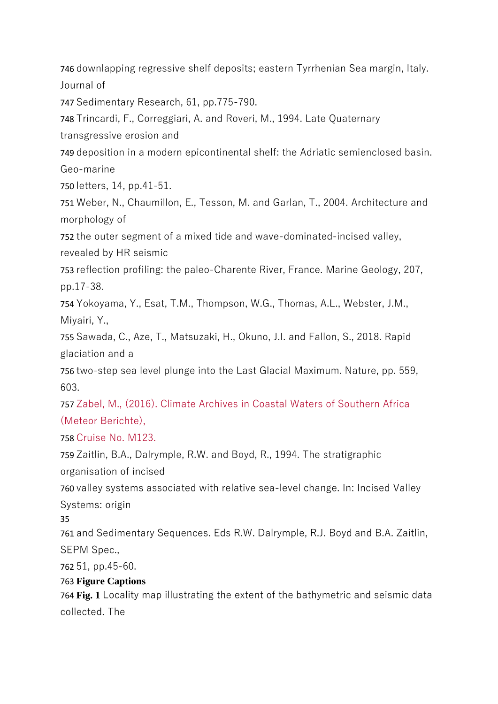746 downlapping regressive shelf deposits; eastern Tyrrhenian Sea margin, Italy. Journal of

747 Sedimentary Research, 61, pp.775-790.

748 Trincardi, F., Correggiari, A. and Roveri, M., 1994. Late Quaternary

transgressive erosion and

749 deposition in a modern epicontinental shelf: the Adriatic semienclosed basin. Geo-marine

750 letters, 14, pp.41-51.

751 Weber, N., Chaumillon, E., Tesson, M. and Garlan, T., 2004. Architecture and morphology of

752 the outer segment of a mixed tide and wave-dominated-incised valley,

revealed by HR seismic

753 reflection profiling: the paleo-Charente River, France. Marine Geology, 207, pp.17-38.

754 Yokoyama, Y., Esat, T.M., Thompson, W.G., Thomas, A.L., Webster, J.M., Miyairi, Y.,

755 Sawada, C., Aze, T., Matsuzaki, H., Okuno, J.I. and Fallon, S., 2018. Rapid glaciation and a

756 two-step sea level plunge into the Last Glacial Maximum. Nature, pp. 559, 603.

757 Zabel, M., (2016). Climate Archives in Coastal Waters of Southern Africa (Meteor Berichte),

758 Cruise No. M123.

759 Zaitlin, B.A., Dalrymple, R.W. and Boyd, R., 1994. The stratigraphic organisation of incised

760 valley systems associated with relative sea-level change. In: Incised Valley Systems: origin

35

761 and Sedimentary Sequences. Eds R.W. Dalrymple, R.J. Boyd and B.A. Zaitlin, SEPM Spec.,

762 51, pp.45-60.

763 **Figure Captions**

764 **Fig. 1** Locality map illustrating the extent of the bathymetric and seismic data collected. The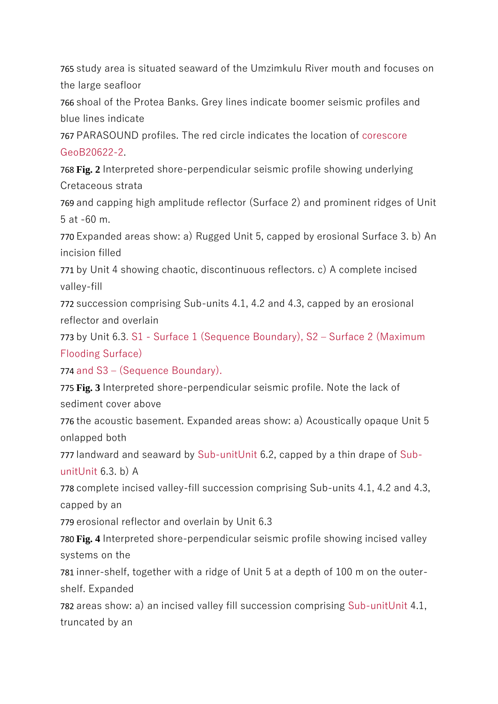765 study area is situated seaward of the Umzimkulu River mouth and focuses on the large seafloor

766 shoal of the Protea Banks. Grey lines indicate boomer seismic profiles and blue lines indicate

767 PARASOUND profiles. The red circle indicates the location of corescore GeoB20622-2.

768 **Fig. 2** Interpreted shore-perpendicular seismic profile showing underlying Cretaceous strata

769 and capping high amplitude reflector (Surface 2) and prominent ridges of Unit 5 at -60 m.

770 Expanded areas show: a) Rugged Unit 5, capped by erosional Surface 3. b) An incision filled

771 by Unit 4 showing chaotic, discontinuous reflectors. c) A complete incised valley-fill

772 succession comprising Sub-units 4.1, 4.2 and 4.3, capped by an erosional reflector and overlain

773 by Unit 6.3. S1 - Surface 1 (Sequence Boundary), S2 – Surface 2 (Maximum Flooding Surface)

774 and S3 – (Sequence Boundary).

775 **Fig. 3** Interpreted shore-perpendicular seismic profile. Note the lack of sediment cover above

776 the acoustic basement. Expanded areas show: a) Acoustically opaque Unit 5 onlapped both

777 landward and seaward by Sub-unitUnit 6.2, capped by a thin drape of SubunitUnit 6.3. b) A

778 complete incised valley-fill succession comprising Sub-units 4.1, 4.2 and 4.3, capped by an

779 erosional reflector and overlain by Unit 6.3

780 **Fig. 4** Interpreted shore-perpendicular seismic profile showing incised valley systems on the

781 inner-shelf, together with a ridge of Unit 5 at a depth of 100 m on the outershelf. Expanded

782 areas show: a) an incised valley fill succession comprising Sub-unitUnit 4.1, truncated by an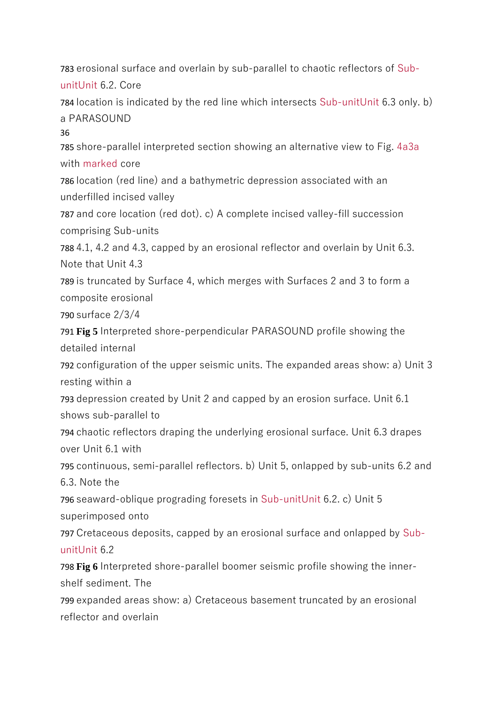783 erosional surface and overlain by sub-parallel to chaotic reflectors of SubunitUnit 6.2. Core

784 location is indicated by the red line which intersects Sub-unitUnit 6.3 only. b) a PARASOUND

36

785 shore-parallel interpreted section showing an alternative view to Fig. 4a3a with marked core

786 location (red line) and a bathymetric depression associated with an underfilled incised valley

787 and core location (red dot). c) A complete incised valley-fill succession comprising Sub-units

788 4.1, 4.2 and 4.3, capped by an erosional reflector and overlain by Unit 6.3. Note that Unit 4.3

789 is truncated by Surface 4, which merges with Surfaces 2 and 3 to form a composite erosional

790 surface 2/3/4

791 **Fig 5** Interpreted shore-perpendicular PARASOUND profile showing the detailed internal

792 configuration of the upper seismic units. The expanded areas show: a) Unit 3 resting within a

793 depression created by Unit 2 and capped by an erosion surface. Unit 6.1 shows sub-parallel to

794 chaotic reflectors draping the underlying erosional surface. Unit 6.3 drapes over Unit 6.1 with

795 continuous, semi-parallel reflectors. b) Unit 5, onlapped by sub-units 6.2 and 6.3. Note the

796 seaward-oblique prograding foresets in Sub-unitUnit 6.2. c) Unit 5 superimposed onto

797 Cretaceous deposits, capped by an erosional surface and onlapped by SubunitUnit 6.2

798 **Fig 6** Interpreted shore-parallel boomer seismic profile showing the innershelf sediment. The

799 expanded areas show: a) Cretaceous basement truncated by an erosional reflector and overlain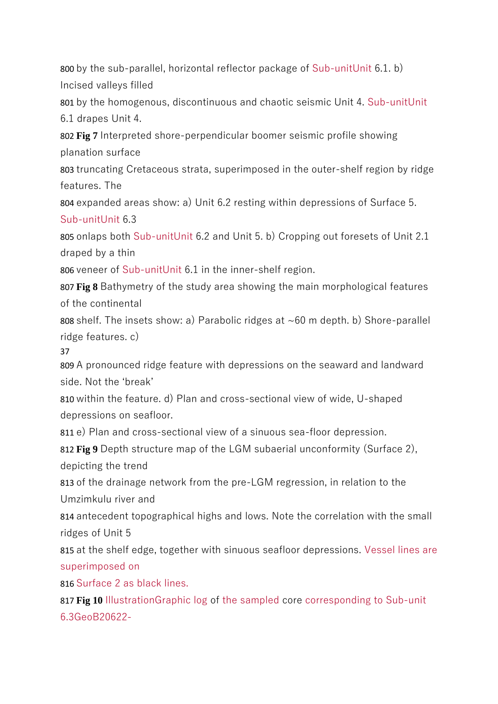800 by the sub-parallel, horizontal reflector package of Sub-unitUnit 6.1. b) Incised valleys filled

801 by the homogenous, discontinuous and chaotic seismic Unit 4. Sub-unitUnit 6.1 drapes Unit 4.

802 **Fig 7** Interpreted shore-perpendicular boomer seismic profile showing planation surface

803 truncating Cretaceous strata, superimposed in the outer-shelf region by ridge features. The

804 expanded areas show: a) Unit 6.2 resting within depressions of Surface 5. Sub-unitUnit 6.3

805 onlaps both Sub-unitUnit 6.2 and Unit 5. b) Cropping out foresets of Unit 2.1 draped by a thin

806 veneer of Sub-unitUnit 6.1 in the inner-shelf region.

807 **Fig 8** Bathymetry of the study area showing the main morphological features of the continental

808 shelf. The insets show: a) Parabolic ridges at ~60 m depth. b) Shore-parallel ridge features. c)

37

809 A pronounced ridge feature with depressions on the seaward and landward side. Not the 'break'

810 within the feature. d) Plan and cross-sectional view of wide, U-shaped depressions on seafloor.

811 e) Plan and cross-sectional view of a sinuous sea-floor depression.

812 **Fig 9** Depth structure map of the LGM subaerial unconformity (Surface 2), depicting the trend

813 of the drainage network from the pre-LGM regression, in relation to the Umzimkulu river and

814 antecedent topographical highs and lows. Note the correlation with the small ridges of Unit 5

815 at the shelf edge, together with sinuous seafloor depressions. Vessel lines are superimposed on

816 Surface 2 as black lines.

817 **Fig 10** IllustrationGraphic log of the sampled core corresponding to Sub-unit 6.3GeoB20622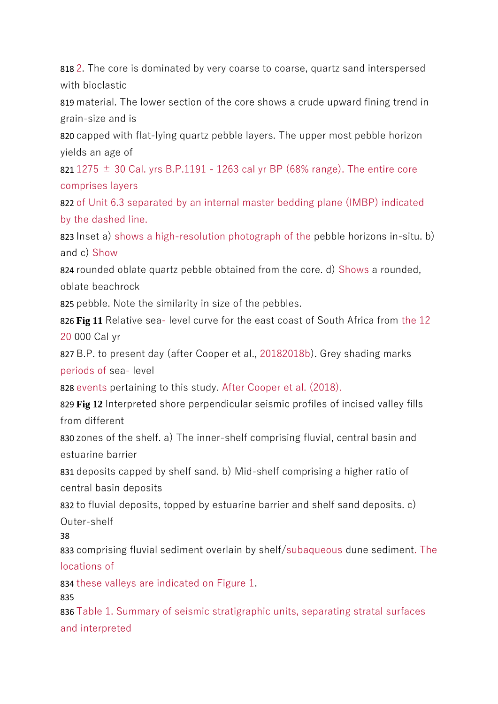818 2. The core is dominated by very coarse to coarse, quartz sand interspersed with bioclastic

819 material. The lower section of the core shows a crude upward fining trend in grain-size and is

820 capped with flat-lying quartz pebble layers. The upper most pebble horizon yields an age of

821 1275  $\pm$  30 Cal. yrs B.P.1191 - 1263 cal yr BP (68% range). The entire core comprises layers

822 of Unit 6.3 separated by an internal master bedding plane (IMBP) indicated by the dashed line.

823 Inset a) shows a high-resolution photograph of the pebble horizons in-situ. b) and c) Show

824 rounded oblate quartz pebble obtained from the core. d) Shows a rounded, oblate beachrock

825 pebble. Note the similarity in size of the pebbles.

826 **Fig 11** Relative sea- level curve for the east coast of South Africa from the 12 20 000 Cal yr

827 B.P. to present day (after Cooper et al., 20182018b). Grey shading marks periods of sea- level

828 events pertaining to this study. After Cooper et al. (2018).

829 **Fig 12** Interpreted shore perpendicular seismic profiles of incised valley fills from different

830 zones of the shelf. a) The inner-shelf comprising fluvial, central basin and estuarine barrier

831 deposits capped by shelf sand. b) Mid-shelf comprising a higher ratio of central basin deposits

832 to fluvial deposits, topped by estuarine barrier and shelf sand deposits. c) Outer-shelf

38

833 comprising fluvial sediment overlain by shelf/subaqueous dune sediment. The locations of

834 these valleys are indicated on Figure 1.

835

836 Table 1. Summary of seismic stratigraphic units, separating stratal surfaces and interpreted